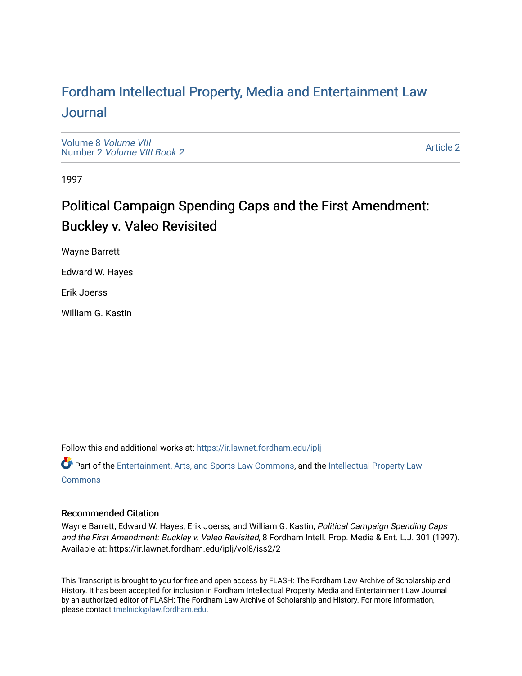# For[dham Intellectual Property, Media and Enter](https://ir.lawnet.fordham.edu/iplj)tainment Law [Journal](https://ir.lawnet.fordham.edu/iplj)

[Volume 8](https://ir.lawnet.fordham.edu/iplj/vol8) Volume VIII Number 2 [Volume VIII Book 2](https://ir.lawnet.fordham.edu/iplj/vol8/iss2)

[Article 2](https://ir.lawnet.fordham.edu/iplj/vol8/iss2/2) 

1997

# Political Campaign Spending Caps and the First Amendment: Buckley v. Valeo Revisited

Wayne Barrett

Edward W. Hayes

Erik Joerss

William G. Kastin

Follow this and additional works at: [https://ir.lawnet.fordham.edu/iplj](https://ir.lawnet.fordham.edu/iplj?utm_source=ir.lawnet.fordham.edu%2Fiplj%2Fvol8%2Fiss2%2F2&utm_medium=PDF&utm_campaign=PDFCoverPages) 

Part of the [Entertainment, Arts, and Sports Law Commons](http://network.bepress.com/hgg/discipline/893?utm_source=ir.lawnet.fordham.edu%2Fiplj%2Fvol8%2Fiss2%2F2&utm_medium=PDF&utm_campaign=PDFCoverPages), and the [Intellectual Property Law](http://network.bepress.com/hgg/discipline/896?utm_source=ir.lawnet.fordham.edu%2Fiplj%2Fvol8%2Fiss2%2F2&utm_medium=PDF&utm_campaign=PDFCoverPages) **[Commons](http://network.bepress.com/hgg/discipline/896?utm_source=ir.lawnet.fordham.edu%2Fiplj%2Fvol8%2Fiss2%2F2&utm_medium=PDF&utm_campaign=PDFCoverPages)** 

# Recommended Citation

Wayne Barrett, Edward W. Hayes, Erik Joerss, and William G. Kastin, Political Campaign Spending Caps and the First Amendment: Buckley v. Valeo Revisited, 8 Fordham Intell. Prop. Media & Ent. L.J. 301 (1997). Available at: https://ir.lawnet.fordham.edu/iplj/vol8/iss2/2

This Transcript is brought to you for free and open access by FLASH: The Fordham Law Archive of Scholarship and History. It has been accepted for inclusion in Fordham Intellectual Property, Media and Entertainment Law Journal by an authorized editor of FLASH: The Fordham Law Archive of Scholarship and History. For more information, please contact [tmelnick@law.fordham.edu](mailto:tmelnick@law.fordham.edu).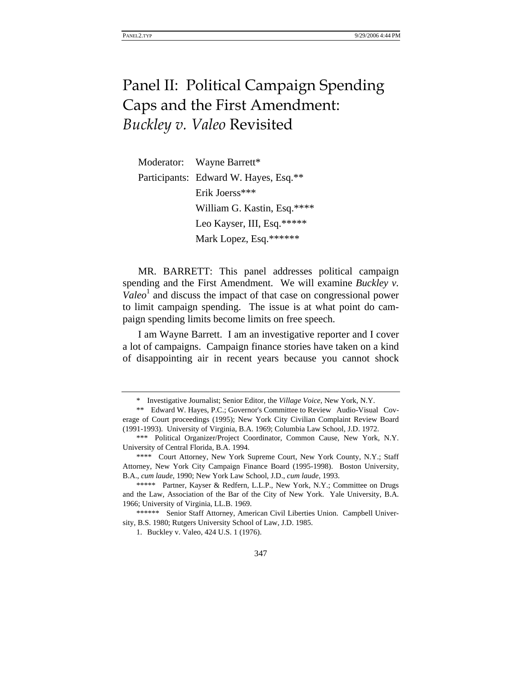# Panel II: Political Campaign Spending Caps and the First Amendment: *Buckley v. Valeo* Revisited

| Moderator: Wayne Barrett*             |
|---------------------------------------|
| Participants: Edward W. Hayes, Esq.** |
| Erik Joerss***                        |
| William G. Kastin, Esq.****           |
| Leo Kayser, III, Esq.*****            |
| Mark Lopez, Esq.******                |

MR. BARRETT: This panel addresses political campaign spending and the First Amendment. We will examine *Buckley v.*   $Valeo<sup>1</sup>$  and discuss the impact of that case on congressional power to limit campaign spending. The issue is at what point do campaign spending limits become limits on free speech.

I am Wayne Barrett. I am an investigative reporter and I cover a lot of campaigns. Campaign finance stories have taken on a kind of disappointing air in recent years because you cannot shock

<sup>\*</sup> Investigative Journalist; Senior Editor, the *Village Voice*, New York, N.Y.

<sup>\*\*</sup> Edward W. Hayes, P.C.; Governor's Committee to Review Audio-Visual Coverage of Court proceedings (1995); New York City Civilian Complaint Review Board (1991-1993). University of Virginia, B.A. 1969; Columbia Law School, J.D. 1972.

<sup>\*\*\*</sup> Political Organizer/Project Coordinator, Common Cause, New York, N.Y. University of Central Florida, B.A. 1994.

<sup>\*\*\*\*</sup> Court Attorney, New York Supreme Court, New York County, N.Y.; Staff Attorney, New York City Campaign Finance Board (1995-1998). Boston University, B.A., *cum laude*, 1990; New York Law School, J.D., *cum laude*, 1993.

<sup>\*\*\*\*\*</sup> Partner, Kayser & Redfern, L.L.P., New York, N.Y.; Committee on Drugs and the Law, Association of the Bar of the City of New York. Yale University, B.A. 1966; University of Virginia, LL.B. 1969.

<sup>\*\*\*\*\*\*</sup> Senior Staff Attorney, American Civil Liberties Union. Campbell University, B.S. 1980; Rutgers University School of Law, J.D. 1985.

<sup>1.</sup> Buckley v. Valeo, 424 U.S. 1 (1976).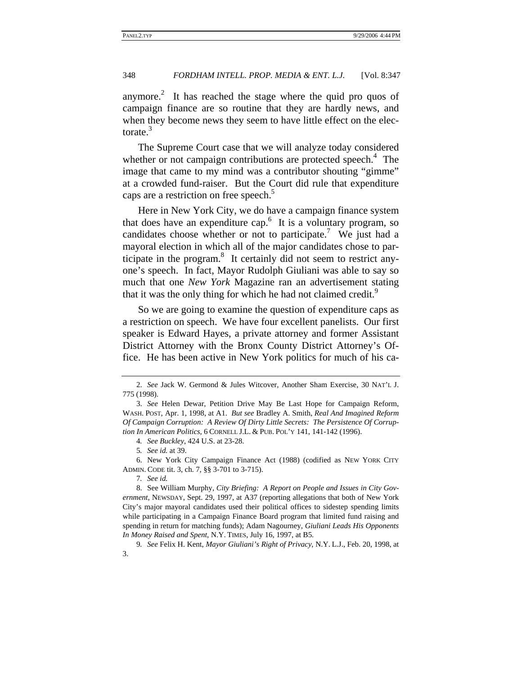anymore.<sup>2</sup> It has reached the stage where the quid pro quos of campaign finance are so routine that they are hardly news, and when they become news they seem to have little effect on the electorate. $3$ 

The Supreme Court case that we will analyze today considered whether or not campaign contributions are protected speech.<sup>4</sup> The image that came to my mind was a contributor shouting "gimme" at a crowded fund-raiser. But the Court did rule that expenditure caps are a restriction on free speech.<sup>5</sup>

Here in New York City, we do have a campaign finance system that does have an expenditure cap.<sup>6</sup> It is a voluntary program, so candidates choose whether or not to participate.<sup>7</sup> We just had a mayoral election in which all of the major candidates chose to participate in the program. $8$  It certainly did not seem to restrict anyone's speech. In fact, Mayor Rudolph Giuliani was able to say so much that one *New York* Magazine ran an advertisement stating that it was the only thing for which he had not claimed credit.<sup>9</sup>

So we are going to examine the question of expenditure caps as a restriction on speech. We have four excellent panelists. Our first speaker is Edward Hayes, a private attorney and former Assistant District Attorney with the Bronx County District Attorney's Office. He has been active in New York politics for much of his ca-

4*. See Buckley*, 424 U.S. at 23-28.

5*. See id.* at 39.

6. New York City Campaign Finance Act (1988) (codified as NEW YORK CITY ADMIN. CODE tit. 3, ch. 7, §§ 3-701 to 3-715).

7*. See id.*

9*. See* Felix H. Kent, *Mayor Giuliani's Right of Privacy*, N.Y. L.J., Feb. 20, 1998, at 3.

<sup>2.</sup> *See* Jack W. Germond & Jules Witcover, Another Sham Exercise, 30 NAT'L J. 775 (1998).

<sup>3.</sup> *See* Helen Dewar, Petition Drive May Be Last Hope for Campaign Reform, WASH. POST, Apr. 1, 1998, at A1. *But see* Bradley A. Smith, *Real And Imagined Reform Of Campaign Corruption: A Review Of Dirty Little Secrets: The Persistence Of Corruption In American Politics*, 6 CORNELL J.L. & PUB. POL'Y 141, 141-142 (1996).

<sup>8.</sup> See William Murphy, *City Briefing: A Report on People and Issues in City Government*, NEWSDAY, Sept. 29, 1997, at A37 (reporting allegations that both of New York City's major mayoral candidates used their political offices to sidestep spending limits while participating in a Campaign Finance Board program that limited fund raising and spending in return for matching funds); Adam Nagourney, *Giuliani Leads His Opponents In Money Raised and Spent*, N.Y. TIMES, July 16, 1997, at B5.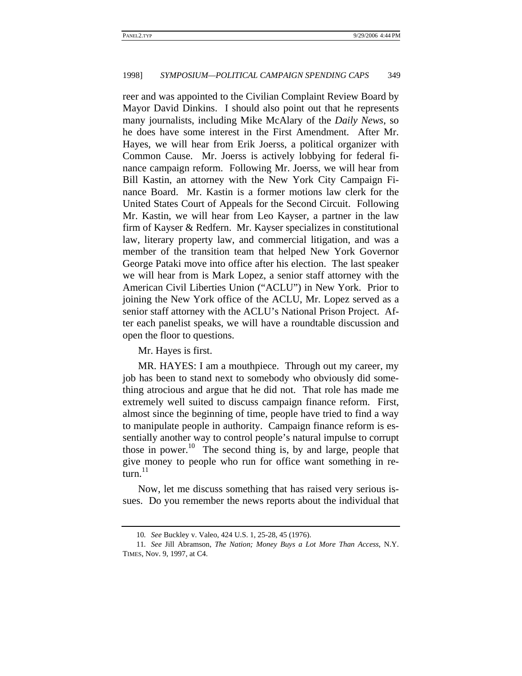reer and was appointed to the Civilian Complaint Review Board by Mayor David Dinkins. I should also point out that he represents many journalists, including Mike McAlary of the *Daily News*, so he does have some interest in the First Amendment. After Mr. Hayes, we will hear from Erik Joerss, a political organizer with Common Cause. Mr. Joerss is actively lobbying for federal finance campaign reform. Following Mr. Joerss, we will hear from Bill Kastin, an attorney with the New York City Campaign Finance Board. Mr. Kastin is a former motions law clerk for the United States Court of Appeals for the Second Circuit. Following Mr. Kastin, we will hear from Leo Kayser, a partner in the law firm of Kayser & Redfern. Mr. Kayser specializes in constitutional law, literary property law, and commercial litigation, and was a member of the transition team that helped New York Governor George Pataki move into office after his election. The last speaker we will hear from is Mark Lopez, a senior staff attorney with the American Civil Liberties Union ("ACLU") in New York. Prior to joining the New York office of the ACLU, Mr. Lopez served as a senior staff attorney with the ACLU's National Prison Project. After each panelist speaks, we will have a roundtable discussion and open the floor to questions.

Mr. Hayes is first.

MR. HAYES: I am a mouthpiece. Through out my career, my job has been to stand next to somebody who obviously did something atrocious and argue that he did not. That role has made me extremely well suited to discuss campaign finance reform. First, almost since the beginning of time, people have tried to find a way to manipulate people in authority. Campaign finance reform is essentially another way to control people's natural impulse to corrupt those in power.<sup>10</sup> The second thing is, by and large, people that give money to people who run for office want something in return. $^{11}$ 

Now, let me discuss something that has raised very serious issues. Do you remember the news reports about the individual that

<sup>10</sup>*. See* Buckley v. Valeo, 424 U.S. 1, 25-28, 45 (1976).

<sup>11</sup>*. See* Jill Abramson, *The Nation; Money Buys a Lot More Than Access*, N.Y. TIMES, Nov. 9, 1997, at C4.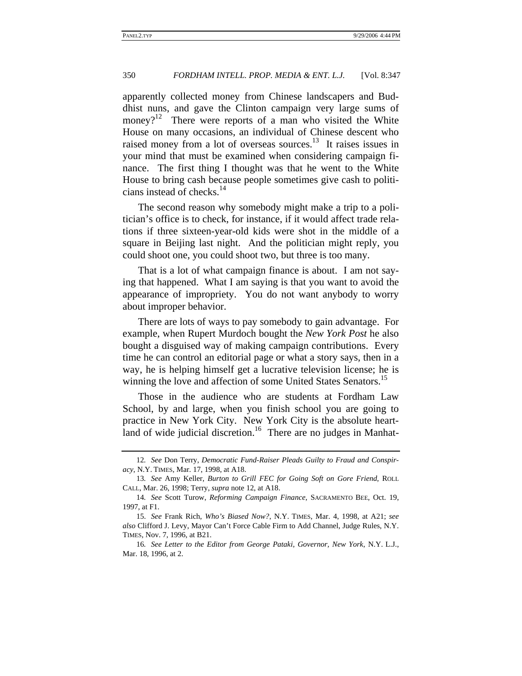apparently collected money from Chinese landscapers and Buddhist nuns, and gave the Clinton campaign very large sums of money?<sup>12</sup> There were reports of a man who visited the White House on many occasions, an individual of Chinese descent who raised money from a lot of overseas sources.<sup>13</sup> It raises issues in your mind that must be examined when considering campaign finance. The first thing I thought was that he went to the White House to bring cash because people sometimes give cash to politicians instead of checks.<sup>14</sup>

The second reason why somebody might make a trip to a politician's office is to check, for instance, if it would affect trade relations if three sixteen-year-old kids were shot in the middle of a square in Beijing last night. And the politician might reply, you could shoot one, you could shoot two, but three is too many.

That is a lot of what campaign finance is about. I am not saying that happened. What I am saying is that you want to avoid the appearance of impropriety. You do not want anybody to worry about improper behavior.

There are lots of ways to pay somebody to gain advantage. For example, when Rupert Murdoch bought the *New York Post* he also bought a disguised way of making campaign contributions. Every time he can control an editorial page or what a story says, then in a way, he is helping himself get a lucrative television license; he is winning the love and affection of some United States Senators.<sup>15</sup>

Those in the audience who are students at Fordham Law School, by and large, when you finish school you are going to practice in New York City. New York City is the absolute heartland of wide judicial discretion.<sup>16</sup> There are no judges in Manhat-

<sup>12</sup>*. See* Don Terry, *Democratic Fund-Raiser Pleads Guilty to Fraud and Conspiracy*, N.Y. TIMES, Mar. 17, 1998, at A18.

<sup>13</sup>*. See* Amy Keller, *Burton to Grill FEC for Going Soft on Gore Friend*, ROLL CALL, Mar. 26, 1998; Terry, *supra* note 12, at A18.

<sup>14</sup>*. See* Scott Turow, *Reforming Campaign Finance*, SACRAMENTO BEE, Oct. 19, 1997, at F1.

<sup>15.</sup> *See* Frank Rich, *Who's Biased Now?*, N.Y. TIMES, Mar. 4, 1998, at A21; *see also* Clifford J. Levy, Mayor Can't Force Cable Firm to Add Channel, Judge Rules, N.Y. TIMES, Nov. 7, 1996, at B21.

<sup>16</sup>*. See Letter to the Editor from George Pataki, Governor, New York*, N.Y. L.J., Mar. 18, 1996, at 2.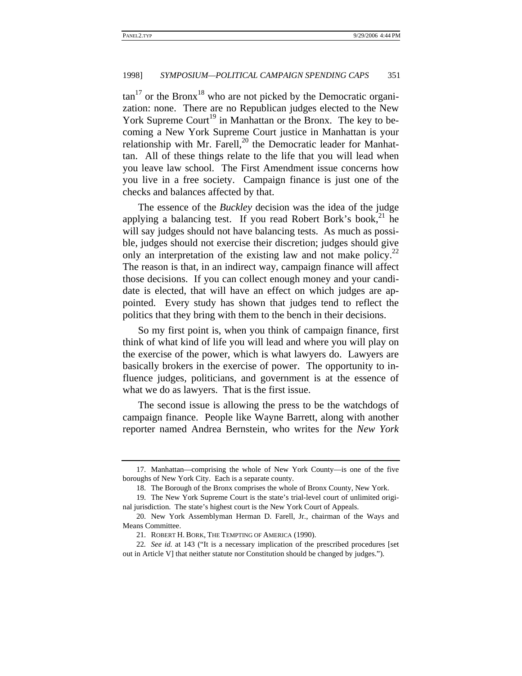$\tan^{17}$  or the Bronx<sup>18</sup> who are not picked by the Democratic organization: none. There are no Republican judges elected to the New York Supreme Court<sup>19</sup> in Manhattan or the Bronx. The key to becoming a New York Supreme Court justice in Manhattan is your relationship with Mr. Farell, $^{20}$  the Democratic leader for Manhattan. All of these things relate to the life that you will lead when you leave law school. The First Amendment issue concerns how you live in a free society. Campaign finance is just one of the checks and balances affected by that.

The essence of the *Buckley* decision was the idea of the judge applying a balancing test. If you read Robert Bork's book,<sup>21</sup> he will say judges should not have balancing tests. As much as possible, judges should not exercise their discretion; judges should give only an interpretation of the existing law and not make policy.<sup>22</sup> The reason is that, in an indirect way, campaign finance will affect those decisions. If you can collect enough money and your candidate is elected, that will have an effect on which judges are appointed. Every study has shown that judges tend to reflect the politics that they bring with them to the bench in their decisions.

So my first point is, when you think of campaign finance, first think of what kind of life you will lead and where you will play on the exercise of the power, which is what lawyers do. Lawyers are basically brokers in the exercise of power. The opportunity to influence judges, politicians, and government is at the essence of what we do as lawyers. That is the first issue.

The second issue is allowing the press to be the watchdogs of campaign finance. People like Wayne Barrett, along with another reporter named Andrea Bernstein, who writes for the *New York* 

<sup>17.</sup> Manhattan—comprising the whole of New York County—is one of the five boroughs of New York City. Each is a separate county.

<sup>18.</sup> The Borough of the Bronx comprises the whole of Bronx County, New York.

<sup>19.</sup> The New York Supreme Court is the state's trial-level court of unlimited original jurisdiction. The state's highest court is the New York Court of Appeals.

<sup>20.</sup> New York Assemblyman Herman D. Farell, Jr., chairman of the Ways and Means Committee.

<sup>21.</sup> ROBERT H. BORK, THE TEMPTING OF AMERICA (1990).

<sup>22</sup>*. See id.* at 143 ("It is a necessary implication of the prescribed procedures [set out in Article V] that neither statute nor Constitution should be changed by judges.").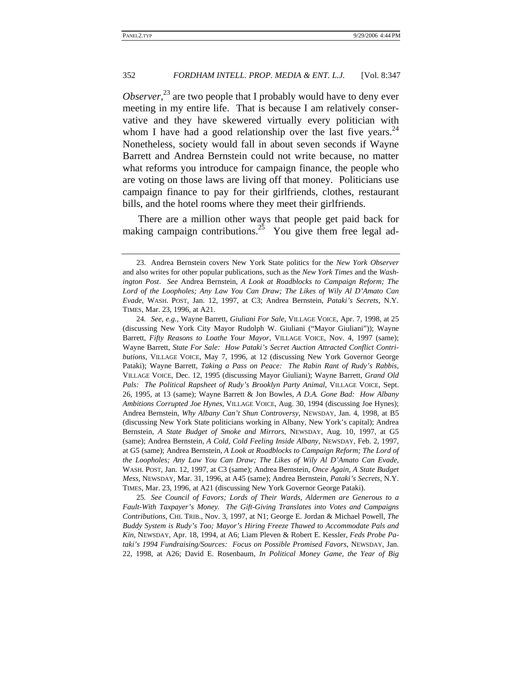*Observer*<sup>23</sup>, are two people that I probably would have to deny ever meeting in my entire life. That is because I am relatively conservative and they have skewered virtually every politician with whom I have had a good relationship over the last five years.<sup>24</sup> Nonetheless, society would fall in about seven seconds if Wayne Barrett and Andrea Bernstein could not write because, no matter what reforms you introduce for campaign finance, the people who are voting on those laws are living off that money. Politicians use campaign finance to pay for their girlfriends, clothes, restaurant bills, and the hotel rooms where they meet their girlfriends.

There are a million other ways that people get paid back for making campaign contributions.<sup>25</sup> You give them free legal ad-

25*. See Council of Favors; Lords of Their Wards, Aldermen are Generous to a Fault-With Taxpayer's Money. The Gift-Giving Translates into Votes and Campaigns Contributions*, CHI. TRIB., Nov. 3, 1997, at N1; George E. Jordan & Michael Powell, *The Buddy System is Rudy's Too; Mayor's Hiring Freeze Thawed to Accommodate Pals and Kin*, NEWSDAY, Apr. 18, 1994, at A6; Liam Pleven & Robert E. Kessler, *Feds Probe Pataki's 1994 Fundraising/Sources: Focus on Possible Promised Favors*, NEWSDAY, Jan. 22, 1998, at A26; David E. Rosenbaum, *In Political Money Game, the Year of Big* 

<sup>23.</sup> Andrea Bernstein covers New York State politics for the *New York Observer* and also writes for other popular publications, such as the *New York Times* and the *Washington Post*. *See* Andrea Bernstein, *A Look at Roadblocks to Campaign Reform; The Lord of the Loopholes; Any Law You Can Draw; The Likes of Wily Al D'Amato Can Evade*, WASH. POST, Jan. 12, 1997, at C3; Andrea Bernstein, *Pataki's Secrets*, N.Y. TIMES, Mar. 23, 1996, at A21.

<sup>24</sup>*. See, e.g.*, Wayne Barrett, *Giuliani For Sale*, VILLAGE VOICE, Apr. 7, 1998, at 25 (discussing New York City Mayor Rudolph W. Giuliani ("Mayor Giuliani")); Wayne Barrett, *Fifty Reasons to Loathe Your Mayor*, VILLAGE VOICE, Nov. 4, 1997 (same); Wayne Barrett, *State For Sale: How Pataki's Secret Auction Attracted Conflict Contributions*, VILLAGE VOICE, May 7, 1996, at 12 (discussing New York Governor George Pataki); Wayne Barrett, *Taking a Pass on Peace: The Rabin Rant of Rudy's Rabbis*, VILLAGE VOICE, Dec. 12, 1995 (discussing Mayor Giuliani); Wayne Barrett, *Grand Old Pals: The Political Rapsheet of Rudy's Brooklyn Party Animal*, VILLAGE VOICE, Sept. 26, 1995, at 13 (same); Wayne Barrett & Jon Bowles, *A D.A. Gone Bad: How Albany Ambitions Corrupted Joe Hynes*, VILLAGE VOICE, Aug. 30, 1994 (discussing Joe Hynes); Andrea Bernstein, *Why Albany Can't Shun Controversy*, NEWSDAY, Jan. 4, 1998, at B5 (discussing New York State politicians working in Albany, New York's capital); Andrea Bernstein, *A State Budget of Smoke and Mirrors*, NEWSDAY, Aug. 10, 1997, at G5 (same); Andrea Bernstein, *A Cold, Cold Feeling Inside Albany*, NEWSDAY, Feb. 2, 1997, at G5 (same); Andrea Bernstein, *A Look at Roadblocks to Campaign Reform; The Lord of the Loopholes; Any Law You Can Draw; The Likes of Wily Al D'Amato Can Evade*, WASH. POST, Jan. 12, 1997, at C3 (same); Andrea Bernstein, *Once Again, A State Budget Mess*, NEWSDAY, Mar. 31, 1996, at A45 (same); Andrea Bernstein, *Pataki's Secrets*, N.Y. TIMES, Mar. 23, 1996, at A21 (discussing New York Governor George Pataki).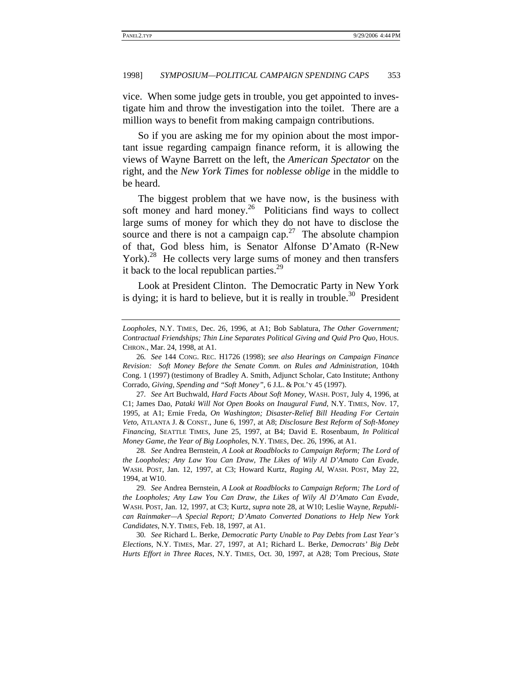vice. When some judge gets in trouble, you get appointed to investigate him and throw the investigation into the toilet. There are a million ways to benefit from making campaign contributions.

So if you are asking me for my opinion about the most important issue regarding campaign finance reform, it is allowing the views of Wayne Barrett on the left, the *American Spectator* on the right, and the *New York Times* for *noblesse oblige* in the middle to be heard.

The biggest problem that we have now, is the business with soft money and hard money. $2^6$  Politicians find ways to collect large sums of money for which they do not have to disclose the source and there is not a campaign cap.<sup>27</sup> The absolute champion of that, God bless him, is Senator Alfonse D'Amato (R-New York).<sup>28</sup> He collects very large sums of money and then transfers it back to the local republican parties.<sup>29</sup>

Look at President Clinton. The Democratic Party in New York is dying; it is hard to believe, but it is really in trouble.<sup>30</sup> President

*Loopholes*, N.Y. TIMES, Dec. 26, 1996, at A1; Bob Sablatura, *The Other Government; Contractual Friendships; Thin Line Separates Political Giving and Quid Pro Quo*, HOUS. CHRON., Mar. 24, 1998, at A1.

<sup>26</sup>*. See* 144 CONG. REC. H1726 (1998); *see also Hearings on Campaign Finance Revision: Soft Money Before the Senate Comm. on Rules and Administration*, 104th Cong. 1 (1997) (testimony of Bradley A. Smith, Adjunct Scholar, Cato Institute; Anthony Corrado, *Giving, Spending and "Soft Money"*, 6 J.L. & POL'Y 45 (1997).

<sup>27</sup>*. See* Art Buchwald, *Hard Facts About Soft Money*, WASH. POST, July 4, 1996, at C1; James Dao, *Pataki Will Not Open Books on Inaugural Fund*, N.Y. TIMES, Nov. 17, 1995, at A1; Ernie Freda, *On Washington; Disaster-Relief Bill Heading For Certain Veto*, ATLANTA J. & CONST., June 6, 1997, at A8; *Disclosure Best Reform of Soft-Money Financing*, SEATTLE TIMES, June 25, 1997, at B4; David E. Rosenbaum, *In Political Money Game, the Year of Big Loopholes*, N.Y. TIMES, Dec. 26, 1996, at A1.

<sup>28</sup>*. See* Andrea Bernstein, *A Look at Roadblocks to Campaign Reform; The Lord of the Loopholes; Any Law You Can Draw, The Likes of Wily Al D'Amato Can Evade*, WASH. POST, Jan. 12, 1997, at C3; Howard Kurtz, *Raging Al*, WASH. POST, May 22, 1994, at W10.

<sup>29</sup>*. See* Andrea Bernstein, *A Look at Roadblocks to Campaign Reform; The Lord of the Loopholes; Any Law You Can Draw, the Likes of Wily Al D'Amato Can Evade*, WASH. POST, Jan. 12, 1997, at C3; Kurtz, *supra* note 28, at W10; Leslie Wayne, *Republican Rainmaker—A Special Report; D'Amato Converted Donations to Help New York Candidates*, N.Y. TIMES, Feb. 18, 1997, at A1.

<sup>30</sup>*. See* Richard L. Berke, *Democratic Party Unable to Pay Debts from Last Year's Elections*, N.Y. TIMES, Mar. 27, 1997, at A1; Richard L. Berke, *Democrats' Big Debt Hurts Effort in Three Races*, N.Y. TIMES, Oct. 30, 1997, at A28; Tom Precious, *State*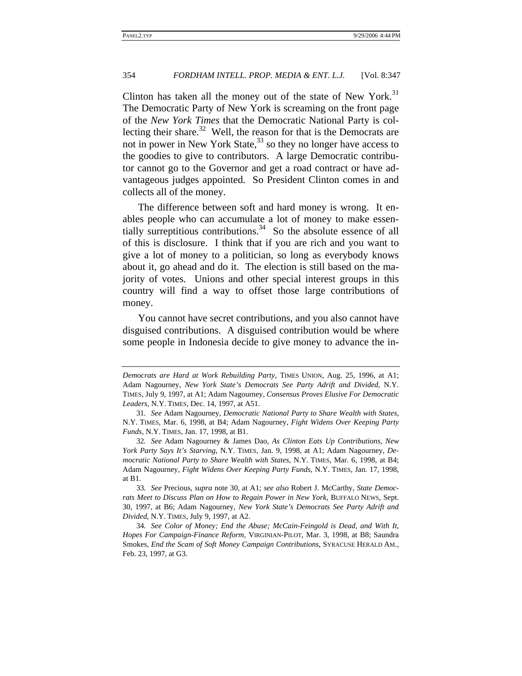Clinton has taken all the money out of the state of New York. $31$ The Democratic Party of New York is screaming on the front page of the *New York Times* that the Democratic National Party is collecting their share.<sup>32</sup> Well, the reason for that is the Democrats are not in power in New York State,  $33$  so they no longer have access to the goodies to give to contributors. A large Democratic contributor cannot go to the Governor and get a road contract or have advantageous judges appointed. So President Clinton comes in and collects all of the money.

The difference between soft and hard money is wrong. It enables people who can accumulate a lot of money to make essentially surreptitious contributions.<sup>34</sup> So the absolute essence of all of this is disclosure. I think that if you are rich and you want to give a lot of money to a politician, so long as everybody knows about it, go ahead and do it. The election is still based on the majority of votes. Unions and other special interest groups in this country will find a way to offset those large contributions of money.

You cannot have secret contributions, and you also cannot have disguised contributions. A disguised contribution would be where some people in Indonesia decide to give money to advance the in-

*Democrats are Hard at Work Rebuilding Party*, TIMES UNION, Aug. 25, 1996, at A1; Adam Nagourney, *New York State's Democrats See Party Adrift and Divided*, N.Y. TIMES, July 9, 1997, at A1; Adam Nagourney, *Consensus Proves Elusive For Democratic Leaders*, N.Y. TIMES, Dec. 14, 1997, at A51.

<sup>31</sup>*. See* Adam Nagourney, *Democratic National Party to Share Wealth with States*, N.Y. TIMES, Mar. 6, 1998, at B4; Adam Nagourney, *Fight Widens Over Keeping Party Funds*, N.Y. TIMES, Jan. 17, 1998, at B1.

<sup>32</sup>*. See* Adam Nagourney & James Dao, *As Clinton Eats Up Contributions, New York Party Says It's Starving*, N.Y. TIMES, Jan. 9, 1998, at A1; Adam Nagourney, *Democratic National Party to Share Wealth with States*, N.Y. TIMES, Mar. 6, 1998, at B4; Adam Nagourney, *Fight Widens Over Keeping Party Funds*, N.Y. TIMES, Jan. 17, 1998, at B1.

<sup>33</sup>*. See* Precious, *supra* note 30, at A1; *see also* Robert J. McCarthy, *State Democrats Meet to Discuss Plan on How to Regain Power in New York*, BUFFALO NEWS, Sept. 30, 1997, at B6; Adam Nagourney, *New York State's Democrats See Party Adrift and Divided*, N.Y. TIMES, July 9, 1997, at A2.

<sup>34</sup>*. See Color of Money; End the Abuse; McCain-Feingold is Dead, and With It, Hopes For Campaign-Finance Reform*, VIRGINIAN-PILOT, Mar. 3, 1998, at B8; Saundra Smokes, *End the Scam of Soft Money Campaign Contributions*, SYRACUSE HERALD AM., Feb. 23, 1997, at G3.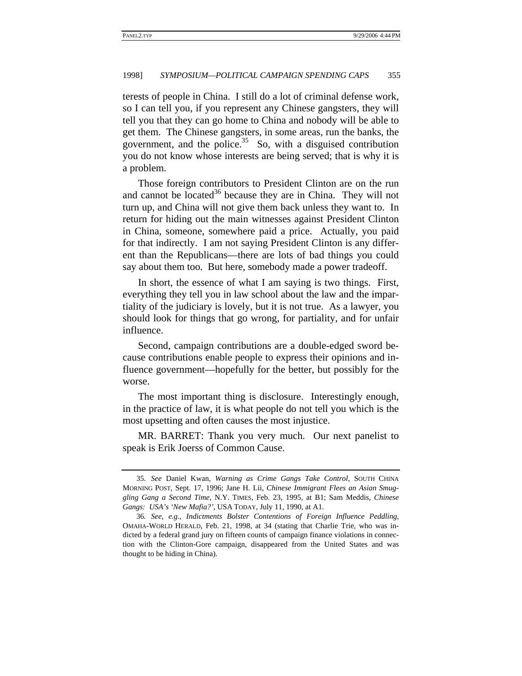terests of people in China. I still do a lot of criminal defense work, so I can tell you, if you represent any Chinese gangsters, they will tell you that they can go home to China and nobody will be able to get them. The Chinese gangsters, in some areas, run the banks, the government, and the police. $35$  So, with a disguised contribution you do not know whose interests are being served; that is why it is a problem.

Those foreign contributors to President Clinton are on the run and cannot be located $36$  because they are in China. They will not turn up, and China will not give them back unless they want to. In return for hiding out the main witnesses against President Clinton in China, someone, somewhere paid a price. Actually, you paid for that indirectly. I am not saying President Clinton is any different than the Republicans—there are lots of bad things you could say about them too. But here, somebody made a power tradeoff.

In short, the essence of what I am saying is two things. First, everything they tell you in law school about the law and the impartiality of the judiciary is lovely, but it is not true. As a lawyer, you should look for things that go wrong, for partiality, and for unfair influence.

Second, campaign contributions are a double-edged sword because contributions enable people to express their opinions and influence government—hopefully for the better, but possibly for the worse.

The most important thing is disclosure. Interestingly enough, in the practice of law, it is what people do not tell you which is the most upsetting and often causes the most injustice.

MR. BARRET: Thank you very much. Our next panelist to speak is Erik Joerss of Common Cause.

<sup>35</sup>*. See* Daniel Kwan, *Warning as Crime Gangs Take Control*, SOUTH CHINA MORNING POST, Sept. 17, 1996; Jane H. Lii, *Chinese Immigrant Flees an Asian Smuggling Gang a Second Time*, N.Y. TIMES, Feb. 23, 1995, at B1; Sam Meddis, *Chinese Gangs: USA's 'New Mafia?'*, USA TODAY, July 11, 1990, at A1.

<sup>36</sup>*. See, e.g.*, *Indictments Bolster Contentions of Foreign Influence Peddling*, OMAHA-WORLD HERALD, Feb. 21, 1998, at 34 (stating that Charlie Trie, who was indicted by a federal grand jury on fifteen counts of campaign finance violations in connection with the Clinton-Gore campaign, disappeared from the United States and was thought to be hiding in China).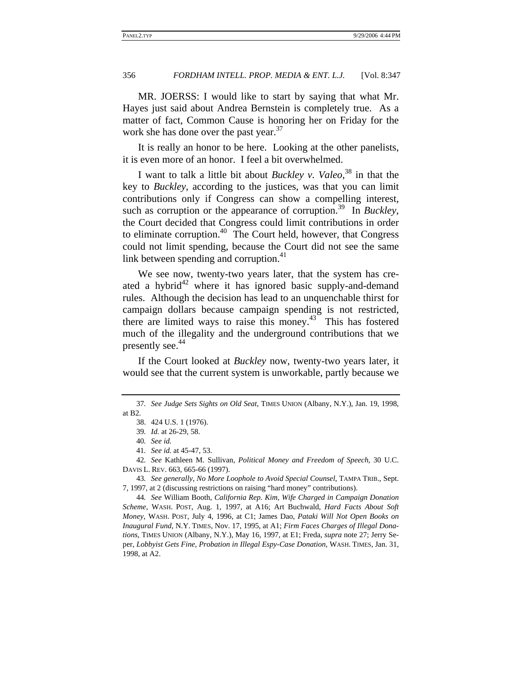MR. JOERSS: I would like to start by saying that what Mr. Hayes just said about Andrea Bernstein is completely true. As a matter of fact, Common Cause is honoring her on Friday for the work she has done over the past year.<sup>37</sup>

It is really an honor to be here. Looking at the other panelists, it is even more of an honor. I feel a bit overwhelmed.

I want to talk a little bit about *Buckley v. Valeo*, 38 in that the key to *Buckley*, according to the justices, was that you can limit contributions only if Congress can show a compelling interest, such as corruption or the appearance of corruption.<sup>39</sup> In *Buckley*, the Court decided that Congress could limit contributions in order to eliminate corruption. $40$  The Court held, however, that Congress could not limit spending, because the Court did not see the same link between spending and corruption. $41$ 

We see now, twenty-two years later, that the system has created a hybrid $42$  where it has ignored basic supply-and-demand rules. Although the decision has lead to an unquenchable thirst for campaign dollars because campaign spending is not restricted, there are limited ways to raise this money.<sup>43</sup> This has fostered much of the illegality and the underground contributions that we presently see.<sup>44</sup>

If the Court looked at *Buckley* now, twenty-two years later, it would see that the current system is unworkable, partly because we

42*. See* Kathleen M. Sullivan, *Political Money and Freedom of Speech*, 30 U.C. DAVIS L. REV. 663, 665-66 (1997).

43*. See generally*, *No More Loophole to Avoid Special Counsel*, TAMPA TRIB., Sept. 7, 1997, at 2 (discussing restrictions on raising "hard money" contributions).

44*. See* William Booth, *California Rep. Kim, Wife Charged in Campaign Donation Scheme*, WASH. POST, Aug. 1, 1997, at A16; Art Buchwald, *Hard Facts About Soft Money*, WASH. POST, July 4, 1996, at C1; James Dao, *Pataki Will Not Open Books on Inaugural Fund*, N.Y. TIMES, Nov. 17, 1995, at A1; *Firm Faces Charges of Illegal Donations*, TIMES UNION (Albany, N.Y.), May 16, 1997, at E1; Freda, *supra* note 27; Jerry Seper, *Lobbyist Gets Fine, Probation in Illegal Espy-Case Donation*, WASH. TIMES, Jan. 31, 1998, at A2.

<sup>37</sup>*. See Judge Sets Sights on Old Seat*, TIMES UNION (Albany, N.Y.), Jan. 19, 1998, at B2.

<sup>38. 424</sup> U.S. 1 (1976).

<sup>39</sup>*. Id.* at 26-29, 58.

<sup>40</sup>*. See id.*

<sup>41</sup>*. See id.* at 45-47, 53.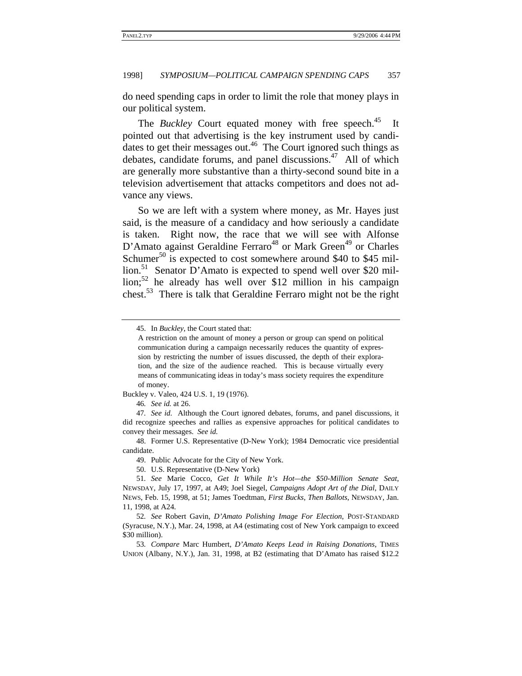do need spending caps in order to limit the role that money plays in our political system.

The *Buckley* Court equated money with free speech.<sup>45</sup> It pointed out that advertising is the key instrument used by candidates to get their messages out.<sup>46</sup> The Court ignored such things as debates, candidate forums, and panel discussions.<sup>47</sup> All of which are generally more substantive than a thirty-second sound bite in a television advertisement that attacks competitors and does not advance any views.

So we are left with a system where money, as Mr. Hayes just said, is the measure of a candidacy and how seriously a candidate is taken. Right now, the race that we will see with Alfonse D'Amato against Geraldine Ferraro<sup>48</sup> or Mark Green<sup>49</sup> or Charles Schumer<sup>50</sup> is expected to cost somewhere around \$40 to \$45 million.<sup>51</sup> Senator D'Amato is expected to spend well over \$20 million;<sup>52</sup> he already has well over \$12 million in his campaign chest.<sup>53</sup> There is talk that Geraldine Ferraro might not be the right

Buckley v. Valeo, 424 U.S. 1, 19 (1976).

46*. See id.* at 26.

49. Public Advocate for the City of New York.

50. U.S. Representative (D-New York)

<sup>45.</sup> In *Buckley*, the Court stated that:

A restriction on the amount of money a person or group can spend on political communication during a campaign necessarily reduces the quantity of expression by restricting the number of issues discussed, the depth of their exploration, and the size of the audience reached. This is because virtually every means of communicating ideas in today's mass society requires the expenditure of money.

<sup>47</sup>*. See id.* Although the Court ignored debates, forums, and panel discussions, it did recognize speeches and rallies as expensive approaches for political candidates to convey their messages. *See id.*

<sup>48.</sup> Former U.S. Representative (D-New York); 1984 Democratic vice presidential candidate.

<sup>51</sup>*. See* Marie Cocco, *Get It While It's Hot—the \$50-Million Senate Seat*, NEWSDAY, July 17, 1997, at A49; Joel Siegel, *Campaigns Adopt Art of the Dial*, DAILY NEWS, Feb. 15, 1998, at 51; James Toedtman, *First Bucks, Then Ballots*, NEWSDAY, Jan. 11, 1998, at A24.

<sup>52</sup>*. See* Robert Gavin, *D'Amato Polishing Image For Election*, POST-STANDARD (Syracuse, N.Y.), Mar. 24, 1998, at A4 (estimating cost of New York campaign to exceed \$30 million).

<sup>53</sup>*. Compare* Marc Humbert, *D'Amato Keeps Lead in Raising Donations*, TIMES UNION (Albany, N.Y.), Jan. 31, 1998, at B2 (estimating that D'Amato has raised \$12.2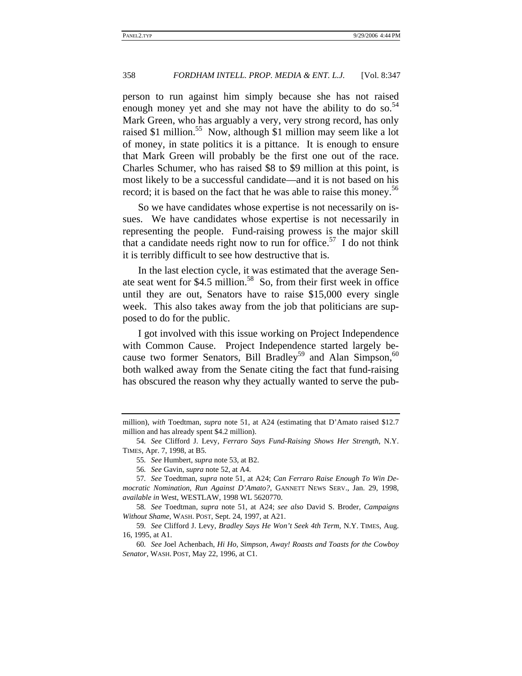person to run against him simply because she has not raised enough money yet and she may not have the ability to do so.<sup>54</sup> Mark Green, who has arguably a very, very strong record, has only raised \$1 million.55 Now, although \$1 million may seem like a lot of money, in state politics it is a pittance. It is enough to ensure that Mark Green will probably be the first one out of the race. Charles Schumer, who has raised \$8 to \$9 million at this point, is most likely to be a successful candidate—and it is not based on his record; it is based on the fact that he was able to raise this money.<sup>56</sup>

So we have candidates whose expertise is not necessarily on issues. We have candidates whose expertise is not necessarily in representing the people. Fund-raising prowess is the major skill that a candidate needs right now to run for office.<sup>57</sup> I do not think it is terribly difficult to see how destructive that is.

In the last election cycle, it was estimated that the average Senate seat went for \$4.5 million.<sup>58</sup> So, from their first week in office until they are out, Senators have to raise \$15,000 every single week. This also takes away from the job that politicians are supposed to do for the public.

I got involved with this issue working on Project Independence with Common Cause. Project Independence started largely because two former Senators, Bill Bradley<sup>59</sup> and Alan Simpson,<sup>60</sup> both walked away from the Senate citing the fact that fund-raising has obscured the reason why they actually wanted to serve the pub-

58*. See* Toedtman, *supra* note 51, at A24; *see also* David S. Broder, *Campaigns Without Shame*, WASH. POST, Sept. 24, 1997, at A21.

59*. See* Clifford J. Levy, *Bradley Says He Won't Seek 4th Term*, N.Y. TIMES, Aug. 16, 1995, at A1.

60*. See* Joel Achenbach, *Hi Ho, Simpson, Away! Roasts and Toasts for the Cowboy Senator*, WASH. POST, May 22, 1996, at C1.

million), *with* Toedtman, *supra* note 51, at A24 (estimating that D'Amato raised \$12.7 million and has already spent \$4.2 million).

<sup>54</sup>*. See* Clifford J. Levy, *Ferraro Says Fund-Raising Shows Her Strength*, N.Y. TIMES, Apr. 7, 1998, at B5.

<sup>55</sup>*. See* Humbert, *supra* note 53, at B2.

<sup>56</sup>*. See* Gavin, *supra* note 52, at A4.

<sup>57</sup>*. See* Toedtman, *supra* note 51, at A24; *Can Ferraro Raise Enough To Win Democratic Nomination, Run Against D'Amato?*, GANNETT NEWS SERV., Jan. 29, 1998, *available in* West, WESTLAW, 1998 WL 5620770.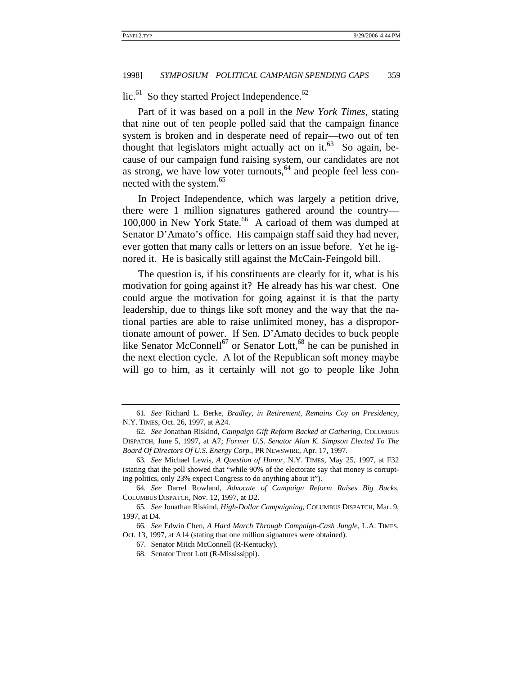lic.<sup>61</sup> So they started Project Independence.<sup>62</sup>

Part of it was based on a poll in the *New York Times*, stating that nine out of ten people polled said that the campaign finance system is broken and in desperate need of repair—two out of ten thought that legislators might actually act on it. $63$  So again, because of our campaign fund raising system, our candidates are not as strong, we have low voter turnouts,  $64$  and people feel less connected with the system.<sup>65</sup>

In Project Independence, which was largely a petition drive, there were 1 million signatures gathered around the country— 100,000 in New York State.<sup>66</sup> A carload of them was dumped at Senator D'Amato's office. His campaign staff said they had never, ever gotten that many calls or letters on an issue before. Yet he ignored it. He is basically still against the McCain-Feingold bill.

The question is, if his constituents are clearly for it, what is his motivation for going against it? He already has his war chest. One could argue the motivation for going against it is that the party leadership, due to things like soft money and the way that the national parties are able to raise unlimited money, has a disproportionate amount of power. If Sen. D'Amato decides to buck people like Senator McConnell<sup>67</sup> or Senator Lott,<sup>68</sup> he can be punished in the next election cycle. A lot of the Republican soft money maybe will go to him, as it certainly will not go to people like John

<sup>61</sup>*. See* Richard L. Berke, *Bradley, in Retirement, Remains Coy on Presidency*, N.Y. TIMES, Oct. 26, 1997, at A24.

<sup>62</sup>*. See* Jonathan Riskind, *Campaign Gift Reform Backed at Gathering*, COLUMBUS DISPATCH, June 5, 1997, at A7; *Former U.S. Senator Alan K. Simpson Elected To The Board Of Directors Of U.S. Energy Corp.*, PR NEWSWIRE, Apr. 17, 1997.

<sup>63</sup>*. See* Michael Lewis, *A Question of Honor*, N.Y. TIMES, May 25, 1997, at F32 (stating that the poll showed that "while 90% of the electorate say that money is corrupting politics, only 23% expect Congress to do anything about it").

<sup>64</sup>*. See* Darrel Rowland, *Advocate of Campaign Reform Raises Big Bucks*, COLUMBUS DISPATCH, Nov. 12, 1997, at D2.

<sup>65</sup>*. See* Jonathan Riskind, *High-Dollar Campaigning*, COLUMBUS DISPATCH, Mar. 9, 1997, at D4.

<sup>66</sup>*. See* Edwin Chen, *A Hard March Through Campaign-Cash Jungle*, L.A. TIMES, Oct. 13, 1997, at A14 (stating that one million signatures were obtained).

<sup>67.</sup> Senator Mitch McConnell (R-Kentucky).

<sup>68.</sup> Senator Trent Lott (R-Mississippi).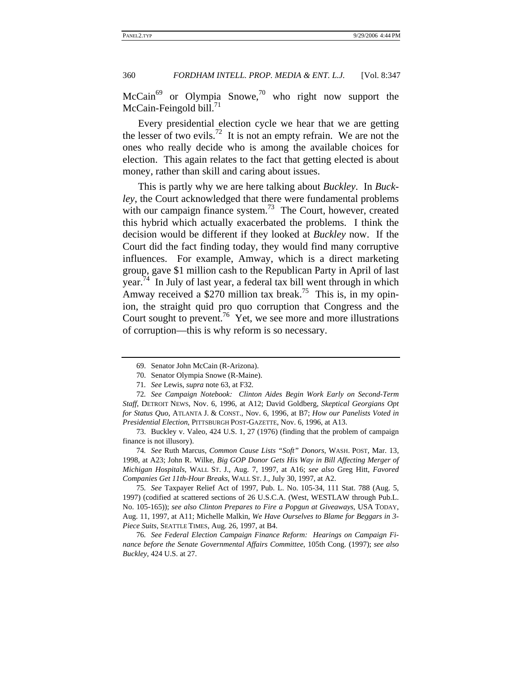McCain69 or Olympia Snowe,70 who right now support the McCain-Feingold bill.<sup>71</sup>

Every presidential election cycle we hear that we are getting the lesser of two evils.<sup>72</sup> It is not an empty refrain. We are not the ones who really decide who is among the available choices for election. This again relates to the fact that getting elected is about money, rather than skill and caring about issues.

This is partly why we are here talking about *Buckley*. In *Buckley*, the Court acknowledged that there were fundamental problems with our campaign finance system.<sup>73</sup> The Court, however, created this hybrid which actually exacerbated the problems. I think the decision would be different if they looked at *Buckley* now. If the Court did the fact finding today, they would find many corruptive influences. For example, Amway, which is a direct marketing group, gave \$1 million cash to the Republican Party in April of last year.<sup>74</sup> In July of last year, a federal tax bill went through in which Amway received a \$270 million tax break.<sup>75</sup> This is, in my opinion, the straight quid pro quo corruption that Congress and the Court sought to prevent.<sup>76</sup> Yet, we see more and more illustrations of corruption—this is why reform is so necessary.

73. Buckley v. Valeo, 424 U.S. 1, 27 (1976) (finding that the problem of campaign finance is not illusory).

74*. See* Ruth Marcus, *Common Cause Lists "Soft" Donors*, WASH. POST, Mar. 13, 1998, at A23; John R. Wilke, *Big GOP Donor Gets His Way in Bill Affecting Merger of Michigan Hospitals*, WALL ST. J., Aug. 7, 1997, at A16; *see also* Greg Hitt, *Favored Companies Get 11th-Hour Breaks*, WALL ST. J., July 30, 1997, at A2.

75*. See* Taxpayer Relief Act of 1997, Pub. L. No. 105-34, 111 Stat. 788 (Aug. 5, 1997) (codified at scattered sections of 26 U.S.C.A. (West, WESTLAW through Pub.L. No. 105-165)); *see also Clinton Prepares to Fire a Popgun at Giveaways*, USA TODAY, Aug. 11, 1997, at A11; Michelle Malkin, *We Have Ourselves to Blame for Beggars in 3- Piece Suits*, SEATTLE TIMES, Aug. 26, 1997, at B4.

76*. See Federal Election Campaign Finance Reform: Hearings on Campaign Finance before the Senate Governmental Affairs Committee*, 105th Cong. (1997); *see also Buckley*, 424 U.S. at 27.

<sup>69.</sup> Senator John McCain (R-Arizona).

<sup>70.</sup> Senator Olympia Snowe (R-Maine).

<sup>71</sup>*. See* Lewis, *supra* note 63, at F32.

<sup>72</sup>*. See Campaign Notebook: Clinton Aides Begin Work Early on Second-Term Staff*, DETROIT NEWS, Nov. 6, 1996, at A12; David Goldberg, *Skeptical Georgians Opt for Status Quo*, ATLANTA J. & CONST., Nov. 6, 1996, at B7; *How our Panelists Voted in Presidential Election*, PITTSBURGH POST-GAZETTE, Nov. 6, 1996, at A13.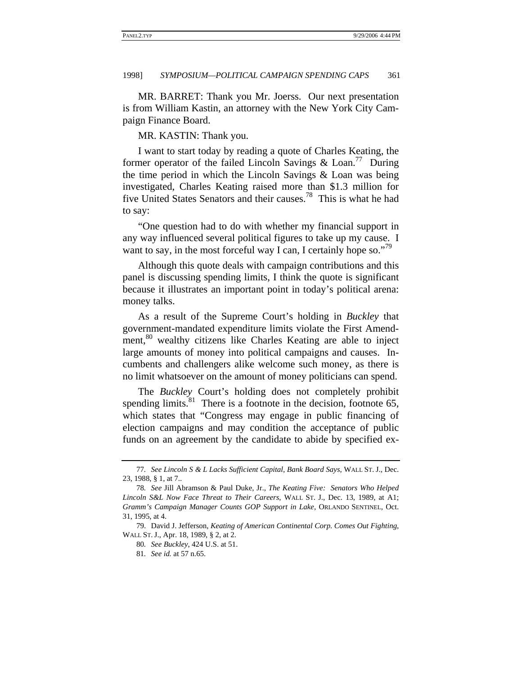MR. BARRET: Thank you Mr. Joerss. Our next presentation is from William Kastin, an attorney with the New York City Campaign Finance Board.

MR. KASTIN: Thank you.

I want to start today by reading a quote of Charles Keating, the former operator of the failed Lincoln Savings & Loan.<sup>77</sup> During the time period in which the Lincoln Savings & Loan was being investigated, Charles Keating raised more than \$1.3 million for five United States Senators and their causes.78 This is what he had to say:

"One question had to do with whether my financial support in any way influenced several political figures to take up my cause. I want to say, in the most forceful way I can, I certainly hope so."<sup>79</sup>

Although this quote deals with campaign contributions and this panel is discussing spending limits, I think the quote is significant because it illustrates an important point in today's political arena: money talks.

As a result of the Supreme Court's holding in *Buckley* that government-mandated expenditure limits violate the First Amendment,<sup>80</sup> wealthy citizens like Charles Keating are able to inject large amounts of money into political campaigns and causes. Incumbents and challengers alike welcome such money, as there is no limit whatsoever on the amount of money politicians can spend.

The *Buckley* Court's holding does not completely prohibit spending limits. $81$  There is a footnote in the decision, footnote 65, which states that "Congress may engage in public financing of election campaigns and may condition the acceptance of public funds on an agreement by the candidate to abide by specified ex-

<sup>77</sup>*. See Lincoln S & L Lacks Sufficient Capital, Bank Board Says*, WALL ST. J., Dec. 23, 1988, § 1, at 7..

<sup>78</sup>*. See* Jill Abramson & Paul Duke, Jr., *The Keating Five: Senators Who Helped Lincoln S&L Now Face Threat to Their Careers*, WALL ST. J., Dec. 13, 1989, at A1; *Gramm's Campaign Manager Counts GOP Support in Lake*, ORLANDO SENTINEL, Oct. 31, 1995, at 4.

<sup>79.</sup> David J. Jefferson, *Keating of American Continental Corp. Comes Out Fighting*, WALL ST. J., Apr. 18, 1989, § 2, at 2.

<sup>80</sup>*. See Buckley*, 424 U.S. at 51.

<sup>81</sup>*. See id.* at 57 n.65.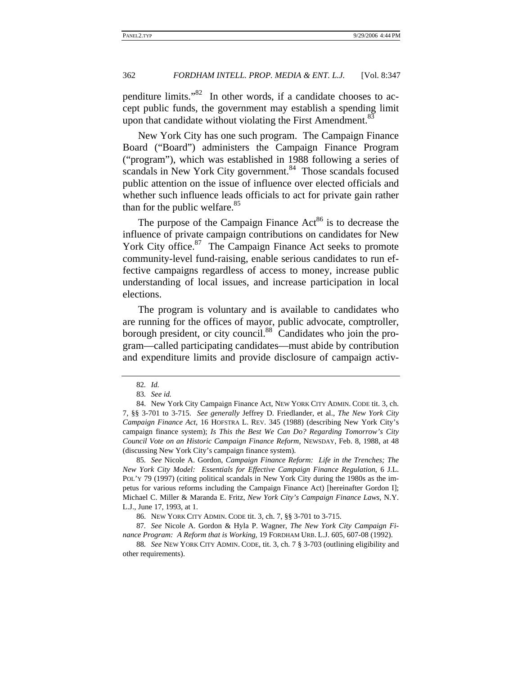penditure limits."82 In other words, if a candidate chooses to accept public funds, the government may establish a spending limit upon that candidate without violating the First Amendment.<sup>83</sup>

New York City has one such program. The Campaign Finance Board ("Board") administers the Campaign Finance Program ("program"), which was established in 1988 following a series of scandals in New York City government.<sup>84</sup> Those scandals focused public attention on the issue of influence over elected officials and whether such influence leads officials to act for private gain rather than for the public welfare. $85$ 

The purpose of the Campaign Finance  $Act^{86}$  is to decrease the influence of private campaign contributions on candidates for New York City office.<sup>87</sup> The Campaign Finance Act seeks to promote community-level fund-raising, enable serious candidates to run effective campaigns regardless of access to money, increase public understanding of local issues, and increase participation in local elections.

The program is voluntary and is available to candidates who are running for the offices of mayor, public advocate, comptroller, borough president, or city council.<sup>88</sup> Candidates who join the program—called participating candidates—must abide by contribution and expenditure limits and provide disclosure of campaign activ-

<sup>82</sup>*. Id.*

<sup>83</sup>*. See id.*

<sup>84.</sup> New York City Campaign Finance Act, NEW YORK CITY ADMIN. CODE tit. 3, ch. 7, §§ 3-701 to 3-715. *See generally* Jeffrey D. Friedlander, et al., *The New York City Campaign Finance Act*, 16 HOFSTRA L. REV. 345 (1988) (describing New York City's campaign finance system); *Is This the Best We Can Do? Regarding Tomorrow's City Council Vote on an Historic Campaign Finance Reform*, NEWSDAY, Feb. 8, 1988, at 48 (discussing New York City's campaign finance system).

<sup>85</sup>*. See* Nicole A. Gordon, *Campaign Finance Reform: Life in the Trenches; The New York City Model: Essentials for Effective Campaign Finance Regulation*, 6 J.L. POL'Y 79 (1997) (citing political scandals in New York City during the 1980s as the impetus for various reforms including the Campaign Finance Act) [hereinafter Gordon I]; Michael C. Miller & Maranda E. Fritz, *New York City's Campaign Finance Laws*, N.Y. L.J., June 17, 1993, at 1.

<sup>86.</sup> NEW YORK CITY ADMIN. CODE tit. 3, ch. 7, §§ 3-701 to 3-715.

<sup>87</sup>*. See* Nicole A. Gordon & Hyla P. Wagner, *The New York City Campaign Finance Program: A Reform that is Working*, 19 FORDHAM URB. L.J. 605, 607-08 (1992).

<sup>88</sup>*. See* NEW YORK CITY ADMIN. CODE, tit. 3, ch. 7 § 3-703 (outlining eligibility and other requirements).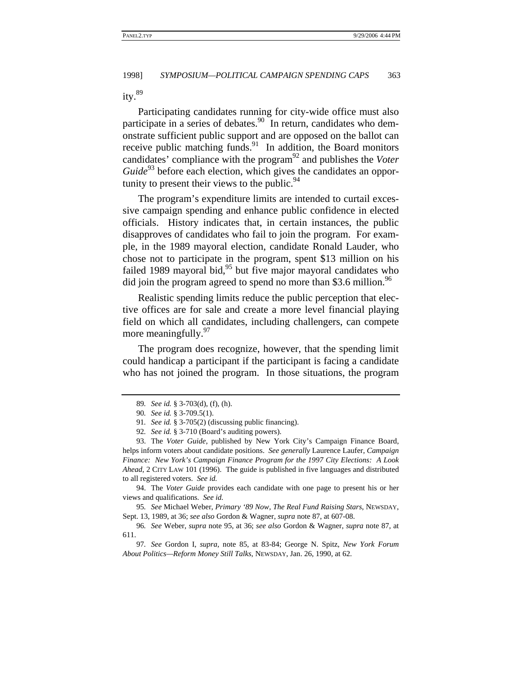ity.<sup>89</sup>

Participating candidates running for city-wide office must also participate in a series of debates.<sup>90</sup> In return, candidates who demonstrate sufficient public support and are opposed on the ballot can receive public matching funds.<sup>91</sup> In addition, the Board monitors candidates' compliance with the program<sup>92</sup> and publishes the *Voter Guide*<sup>93</sup> before each election, which gives the candidates an opportunity to present their views to the public. $94$ 

The program's expenditure limits are intended to curtail excessive campaign spending and enhance public confidence in elected officials. History indicates that, in certain instances, the public disapproves of candidates who fail to join the program. For example, in the 1989 mayoral election, candidate Ronald Lauder, who chose not to participate in the program, spent \$13 million on his failed 1989 mayoral bid, $95$  but five major mayoral candidates who did join the program agreed to spend no more than \$3.6 million.<sup>96</sup>

Realistic spending limits reduce the public perception that elective offices are for sale and create a more level financial playing field on which all candidates, including challengers, can compete more meaningfully.  $97$ 

The program does recognize, however, that the spending limit could handicap a participant if the participant is facing a candidate who has not joined the program. In those situations, the program

93. The *Voter Guide*, published by New York City's Campaign Finance Board, helps inform voters about candidate positions. *See generally* Laurence Laufer, *Campaign Finance: New York's Campaign Finance Program for the 1997 City Elections: A Look Ahead*, 2 CITY LAW 101 (1996). The guide is published in five languages and distributed to all registered voters. *See id.*

94. The *Voter Guide* provides each candidate with one page to present his or her views and qualifications. *See id.*

95*. See* Michael Weber, *Primary '89 Now, The Real Fund Raising Stars*, NEWSDAY, Sept. 13, 1989, at 36; *see also* Gordon & Wagner, *supra* note 87, at 607-08.

96*. See* Weber, *supra* note 95, at 36; *see also* Gordon & Wagner, *supra* note 87, at 611.

<sup>89</sup>*. See id.* § 3-703(d), (f), (h).

<sup>90</sup>*. See id.* § 3-709.5(1).

<sup>91</sup>*. See id.* § 3-705(2) (discussing public financing).

<sup>92</sup>*. See id.* § 3-710 (Board's auditing powers).

<sup>97</sup>*. See* Gordon I, *supra*, note 85, at 83-84; George N. Spitz, *New York Forum About Politics—Reform Money Still Talks*, NEWSDAY, Jan. 26, 1990, at 62.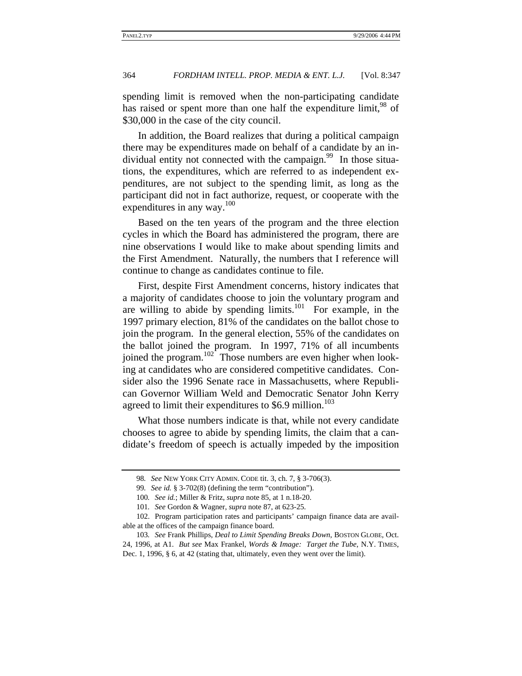spending limit is removed when the non-participating candidate has raised or spent more than one half the expenditure limit,<sup>98</sup> of \$30,000 in the case of the city council.

In addition, the Board realizes that during a political campaign there may be expenditures made on behalf of a candidate by an individual entity not connected with the campaign.<sup>99</sup> In those situations, the expenditures, which are referred to as independent expenditures, are not subject to the spending limit, as long as the participant did not in fact authorize, request, or cooperate with the expenditures in any way.<sup>100</sup>

Based on the ten years of the program and the three election cycles in which the Board has administered the program, there are nine observations I would like to make about spending limits and the First Amendment. Naturally, the numbers that I reference will continue to change as candidates continue to file.

First, despite First Amendment concerns, history indicates that a majority of candidates choose to join the voluntary program and are willing to abide by spending  $\lim$ its.<sup>101</sup> For example, in the 1997 primary election, 81% of the candidates on the ballot chose to join the program. In the general election, 55% of the candidates on the ballot joined the program. In 1997, 71% of all incumbents joined the program. $102^{\circ}$  Those numbers are even higher when looking at candidates who are considered competitive candidates. Consider also the 1996 Senate race in Massachusetts, where Republican Governor William Weld and Democratic Senator John Kerry agreed to limit their expenditures to \$6.9 million.<sup>103</sup>

What those numbers indicate is that, while not every candidate chooses to agree to abide by spending limits, the claim that a candidate's freedom of speech is actually impeded by the imposition

<sup>98</sup>*. See* NEW YORK CITY ADMIN. CODE tit. 3, ch. 7, § 3-706(3).

<sup>99</sup>*. See id.* § 3-702(8) (defining the term "contribution").

<sup>100</sup>*. See id.*; Miller & Fritz, *supra* note 85, at 1 n.18-20.

<sup>101</sup>*. See* Gordon & Wagner, *supra* note 87, at 623-25.

<sup>102.</sup> Program participation rates and participants' campaign finance data are available at the offices of the campaign finance board.

<sup>103</sup>*. See* Frank Phillips, *Deal to Limit Spending Breaks Down*, BOSTON GLOBE, Oct. 24, 1996, at A1. *But see* Max Frankel, *Words & Image: Target the Tube*, N.Y. TIMES, Dec. 1, 1996, § 6, at 42 (stating that, ultimately, even they went over the limit).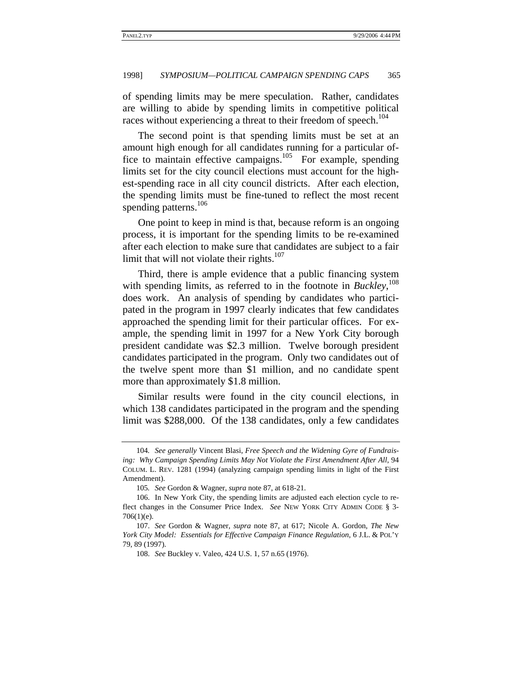of spending limits may be mere speculation. Rather, candidates are willing to abide by spending limits in competitive political races without experiencing a threat to their freedom of speech.<sup>104</sup>

The second point is that spending limits must be set at an amount high enough for all candidates running for a particular office to maintain effective campaigns.<sup>105</sup> For example, spending limits set for the city council elections must account for the highest-spending race in all city council districts. After each election, the spending limits must be fine-tuned to reflect the most recent spending patterns.<sup>106</sup>

One point to keep in mind is that, because reform is an ongoing process, it is important for the spending limits to be re-examined after each election to make sure that candidates are subject to a fair limit that will not violate their rights. $107$ 

Third, there is ample evidence that a public financing system with spending limits, as referred to in the footnote in *Buckley*, 108 does work. An analysis of spending by candidates who participated in the program in 1997 clearly indicates that few candidates approached the spending limit for their particular offices. For example, the spending limit in 1997 for a New York City borough president candidate was \$2.3 million. Twelve borough president candidates participated in the program. Only two candidates out of the twelve spent more than \$1 million, and no candidate spent more than approximately \$1.8 million.

Similar results were found in the city council elections, in which 138 candidates participated in the program and the spending limit was \$288,000. Of the 138 candidates, only a few candidates

<sup>104</sup>*. See generally* Vincent Blasi, *Free Speech and the Widening Gyre of Fundrais*ing: Why Campaign Spending Limits May Not Violate the First Amendment After All, 94 COLUM. L. REV. 1281 (1994) (analyzing campaign spending limits in light of the First Amendment).

<sup>105</sup>*. See* Gordon & Wagner, *supra* note 87, at 618-21.

<sup>106.</sup> In New York City, the spending limits are adjusted each election cycle to reflect changes in the Consumer Price Index. *See* NEW YORK CITY ADMIN CODE § 3- 706(1)(e).

<sup>107.</sup> *See* Gordon & Wagner, *supra* note 87, at 617; Nicole A. Gordon, *The New York City Model: Essentials for Effective Campaign Finance Regulation*, 6 J.L. & POL'Y 79, 89 (1997).

<sup>108.</sup> *See* Buckley v. Valeo, 424 U.S. 1, 57 n.65 (1976).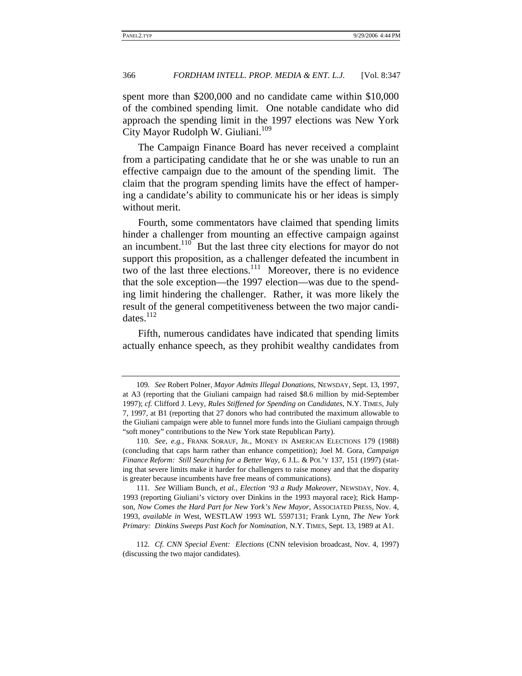spent more than \$200,000 and no candidate came within \$10,000 of the combined spending limit. One notable candidate who did approach the spending limit in the 1997 elections was New York City Mayor Rudolph W. Giuliani.<sup>109</sup>

The Campaign Finance Board has never received a complaint from a participating candidate that he or she was unable to run an effective campaign due to the amount of the spending limit. The claim that the program spending limits have the effect of hampering a candidate's ability to communicate his or her ideas is simply without merit.

Fourth, some commentators have claimed that spending limits hinder a challenger from mounting an effective campaign against an incumbent.<sup>110</sup> But the last three city elections for mayor do not support this proposition, as a challenger defeated the incumbent in two of the last three elections.<sup>111</sup> Moreover, there is no evidence that the sole exception—the 1997 election—was due to the spending limit hindering the challenger. Rather, it was more likely the result of the general competitiveness between the two major candidates.<sup>112</sup>

Fifth, numerous candidates have indicated that spending limits actually enhance speech, as they prohibit wealthy candidates from

<sup>109</sup>*. See* Robert Polner, *Mayor Admits Illegal Donations*, NEWSDAY, Sept. 13, 1997, at A3 (reporting that the Giuliani campaign had raised \$8.6 million by mid-September 1997); *cf.* Clifford J. Levy, *Rules Stiffened for Spending on Candidates*, N.Y. TIMES, July 7, 1997, at B1 (reporting that 27 donors who had contributed the maximum allowable to the Giuliani campaign were able to funnel more funds into the Giuliani campaign through "soft money" contributions to the New York state Republican Party).

<sup>110</sup>*. See, e.g.*, FRANK SORAUF, JR., MONEY IN AMERICAN ELECTIONS 179 (1988) (concluding that caps harm rather than enhance competition); Joel M. Gora, *Campaign Finance Reform: Still Searching for a Better Way*, 6 J.L. & POL'Y 137, 151 (1997) (stating that severe limits make it harder for challengers to raise money and that the disparity is greater because incumbents have free means of communications).

<sup>111</sup>*. See* William Bunch, *et al.*, *Election '93 a Rudy Makeover*, NEWSDAY, Nov. 4, 1993 (reporting Giuliani's victory over Dinkins in the 1993 mayoral race); Rick Hampson, *Now Comes the Hard Part for New York's New Mayor*, ASSOCIATED PRESS, Nov. 4, 1993, *available in* West, WESTLAW 1993 WL 5597131; Frank Lynn, *The New York Primary: Dinkins Sweeps Past Koch for Nomination*, N.Y. TIMES, Sept. 13, 1989 at A1.

<sup>112</sup>*. Cf. CNN Special Event: Elections* (CNN television broadcast, Nov. 4, 1997) (discussing the two major candidates).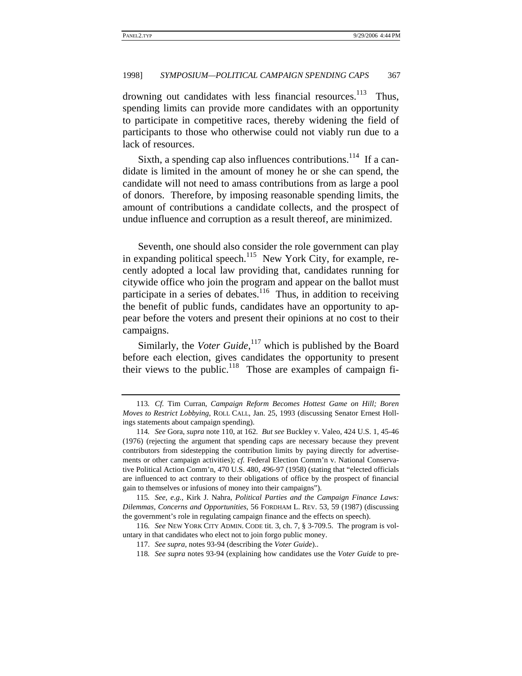drowning out candidates with less financial resources.<sup>113</sup> Thus, spending limits can provide more candidates with an opportunity to participate in competitive races, thereby widening the field of participants to those who otherwise could not viably run due to a lack of resources.

Sixth, a spending cap also influences contributions.<sup>114</sup> If a candidate is limited in the amount of money he or she can spend, the candidate will not need to amass contributions from as large a pool of donors. Therefore, by imposing reasonable spending limits, the amount of contributions a candidate collects, and the prospect of undue influence and corruption as a result thereof, are minimized.

Seventh, one should also consider the role government can play in expanding political speech.<sup>115</sup> New York City, for example, recently adopted a local law providing that, candidates running for citywide office who join the program and appear on the ballot must participate in a series of debates.<sup>116</sup> Thus, in addition to receiving the benefit of public funds, candidates have an opportunity to appear before the voters and present their opinions at no cost to their campaigns.

Similarly, the *Voter Guide*, <sup>117</sup> which is published by the Board before each election, gives candidates the opportunity to present their views to the public. $118$  Those are examples of campaign fi-

<sup>113</sup>*. Cf.* Tim Curran, *Campaign Reform Becomes Hottest Game on Hill; Boren Moves to Restrict Lobbying*, ROLL CALL, Jan. 25, 1993 (discussing Senator Ernest Hollings statements about campaign spending).

<sup>114</sup>*. See* Gora, *supra* note 110, at 162. *But see* Buckley v. Valeo, 424 U.S. 1, 45-46 (1976) (rejecting the argument that spending caps are necessary because they prevent contributors from sidestepping the contribution limits by paying directly for advertisements or other campaign activities); *cf.* Federal Election Comm'n v. National Conservative Political Action Comm'n, 470 U.S. 480, 496-97 (1958) (stating that "elected officials are influenced to act contrary to their obligations of office by the prospect of financial gain to themselves or infusions of money into their campaigns").

<sup>115</sup>*. See, e.g.*, Kirk J. Nahra, *Political Parties and the Campaign Finance Laws: Dilemmas, Concerns and Opportunities*, 56 FORDHAM L. REV. 53, 59 (1987) (discussing the government's role in regulating campaign finance and the effects on speech).

<sup>116</sup>*. See* NEW YORK CITY ADMIN. CODE tit. 3, ch. 7, § 3-709.5. The program is voluntary in that candidates who elect not to join forgo public money.

<sup>117.</sup> *See supra*, notes 93-94 (describing the *Voter Guide*)..

<sup>118</sup>*. See supra* notes 93-94 (explaining how candidates use the *Voter Guide* to pre-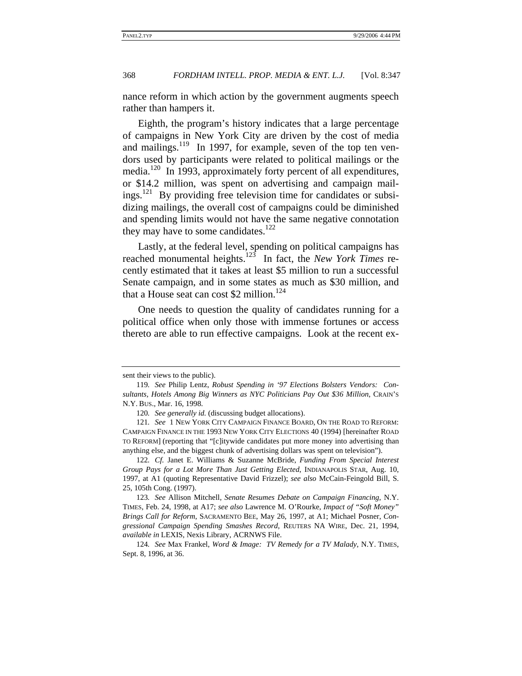nance reform in which action by the government augments speech rather than hampers it.

Eighth, the program's history indicates that a large percentage of campaigns in New York City are driven by the cost of media and mailings.<sup>119</sup> In 1997, for example, seven of the top ten vendors used by participants were related to political mailings or the media.<sup>120</sup> In 1993, approximately forty percent of all expenditures, or \$14.2 million, was spent on advertising and campaign mailings.<sup>121</sup> By providing free television time for candidates or subsidizing mailings, the overall cost of campaigns could be diminished and spending limits would not have the same negative connotation they may have to some candidates. $122$ 

Lastly, at the federal level, spending on political campaigns has reached monumental heights.123 In fact, the *New York Times* recently estimated that it takes at least \$5 million to run a successful Senate campaign, and in some states as much as \$30 million, and that a House seat can cost \$2 million.<sup>124</sup>

One needs to question the quality of candidates running for a political office when only those with immense fortunes or access thereto are able to run effective campaigns. Look at the recent ex-

122*. Cf.* Janet E. Williams & Suzanne McBride, *Funding From Special Interest Group Pays for a Lot More Than Just Getting Elected*, INDIANAPOLIS STAR, Aug. 10, 1997, at A1 (quoting Representative David Frizzel); *see also* McCain-Feingold Bill, S. 25, 105th Cong. (1997).

123*. See* Allison Mitchell, *Senate Resumes Debate on Campaign Financing*, N.Y. TIMES, Feb. 24, 1998, at A17; *see also* Lawrence M. O'Rourke, *Impact of "Soft Money" Brings Call for Reform*, SACRAMENTO BEE, May 26, 1997, at A1; Michael Posner, *Congressional Campaign Spending Smashes Record*, REUTERS NA WIRE, Dec. 21, 1994, *available in* LEXIS, Nexis Library, ACRNWS File.

124*. See* Max Frankel, *Word & Image: TV Remedy for a TV Malady*, N.Y. TIMES, Sept. 8, 1996, at 36.

sent their views to the public).

<sup>119</sup>*. See* Philip Lentz, *Robust Spending in '97 Elections Bolsters Vendors: Consultants, Hotels Among Big Winners as NYC Politicians Pay Out \$36 Million*, CRAIN'S N.Y. BUS., Mar. 16, 1998.

<sup>120</sup>*. See generally id.* (discussing budget allocations).

<sup>121</sup>*. See* 1 NEW YORK CITY CAMPAIGN FINANCE BOARD, ON THE ROAD TO REFORM: CAMPAIGN FINANCE IN THE 1993 NEW YORK CITY ELECTIONS 40 (1994) [hereinafter ROAD TO REFORM] (reporting that "[c]itywide candidates put more money into advertising than anything else, and the biggest chunk of advertising dollars was spent on television").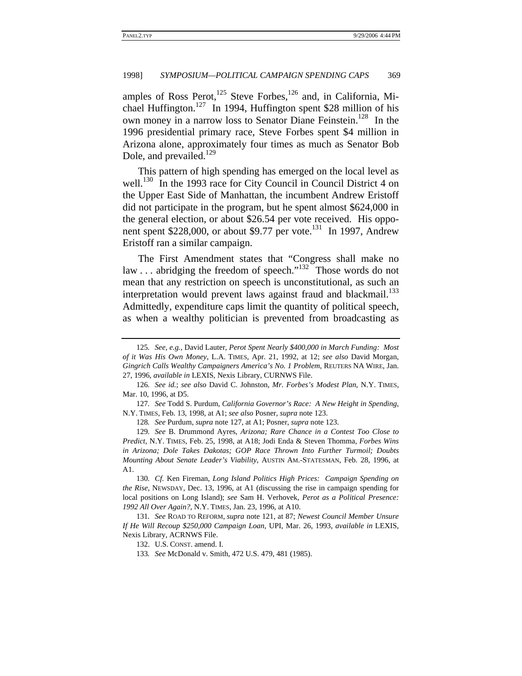amples of Ross Perot,  $125$  Steve Forbes,  $126$  and, in California, Michael Huffington.<sup>127</sup> In 1994, Huffington spent \$28 million of his own money in a narrow loss to Senator Diane Feinstein.<sup>128</sup> In the 1996 presidential primary race, Steve Forbes spent \$4 million in Arizona alone, approximately four times as much as Senator Bob Dole, and prevailed. $^{129}$ 

This pattern of high spending has emerged on the local level as well.<sup>130</sup> In the 1993 race for City Council in Council District 4 on the Upper East Side of Manhattan, the incumbent Andrew Eristoff did not participate in the program, but he spent almost \$624,000 in the general election, or about \$26.54 per vote received. His opponent spent \$228,000, or about \$9.77 per vote.<sup>131</sup> In 1997, Andrew Eristoff ran a similar campaign.

The First Amendment states that "Congress shall make no law . . . abridging the freedom of speech."<sup>132</sup> Those words do not mean that any restriction on speech is unconstitutional, as such an interpretation would prevent laws against fraud and blackmail.<sup>133</sup> Admittedly, expenditure caps limit the quantity of political speech, as when a wealthy politician is prevented from broadcasting as

128*. See* Purdum, *supra* note 127, at A1; Posner, *supra* note 123.

130*. Cf.* Ken Fireman, *Long Island Politics High Prices: Campaign Spending on the Rise*, NEWSDAY, Dec. 13, 1996, at A1 (discussing the rise in campaign spending for local positions on Long Island); *see* Sam H. Verhovek, *Perot as a Political Presence: 1992 All Over Again?*, N.Y. TIMES, Jan. 23, 1996, at A10.

131*. See* ROAD TO REFORM, *supra* note 121, at 87; *Newest Council Member Unsure If He Will Recoup \$250,000 Campaign Loan*, UPI, Mar. 26, 1993, *available in* LEXIS, Nexis Library, ACRNWS File.

132. U.S. CONST. amend. I.

<sup>125</sup>*. See, e.g.*, David Lauter, *Perot Spent Nearly \$400,000 in March Funding: Most of it Was His Own Money*, L.A. TIMES, Apr. 21, 1992, at 12; *see also* David Morgan, *Gingrich Calls Wealthy Campaigners America's No. 1 Problem*, REUTERS NA WIRE, Jan. 27, 1996, *available in* LEXIS, Nexis Library, CURNWS File.

<sup>126</sup>*. See id.*; *see also* David C. Johnston, *Mr. Forbes's Modest Plan*, N.Y. TIMES, Mar. 10, 1996, at D5.

<sup>127</sup>*. See* Todd S. Purdum, *California Governor's Race: A New Height in Spending*, N.Y. TIMES, Feb. 13, 1998, at A1; *see also* Posner, *supra* note 123.

<sup>129</sup>*. See* B. Drummond Ayres, *Arizona; Rare Chance in a Contest Too Close to Predict*, N.Y. TIMES, Feb. 25, 1998, at A18; Jodi Enda & Steven Thomma, *Forbes Wins in Arizona; Dole Takes Dakotas; GOP Race Thrown Into Further Turmoil; Doubts Mounting About Senate Leader's Viability*, AUSTIN AM.-STATESMAN, Feb. 28, 1996, at A1.

<sup>133</sup>*. See* McDonald v. Smith, 472 U.S. 479, 481 (1985).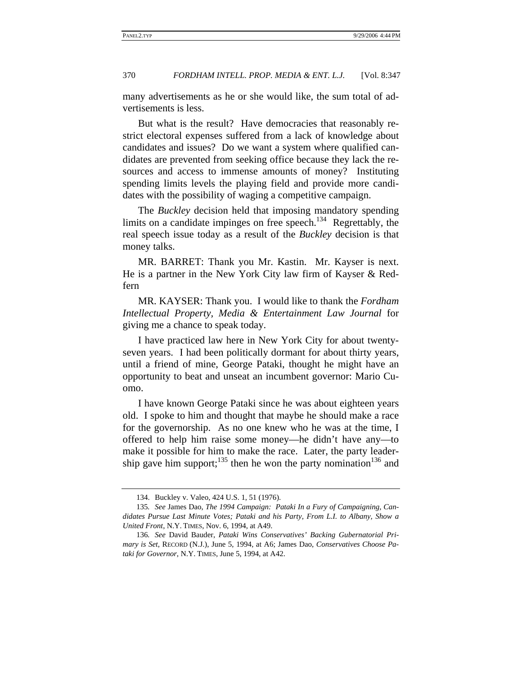many advertisements as he or she would like, the sum total of advertisements is less.

But what is the result? Have democracies that reasonably restrict electoral expenses suffered from a lack of knowledge about candidates and issues? Do we want a system where qualified candidates are prevented from seeking office because they lack the resources and access to immense amounts of money? Instituting spending limits levels the playing field and provide more candidates with the possibility of waging a competitive campaign.

The *Buckley* decision held that imposing mandatory spending limits on a candidate impinges on free speech.<sup>134</sup> Regrettably, the real speech issue today as a result of the *Buckley* decision is that money talks.

MR. BARRET: Thank you Mr. Kastin. Mr. Kayser is next. He is a partner in the New York City law firm of Kayser & Redfern

MR. KAYSER: Thank you. I would like to thank the *Fordham Intellectual Property, Media & Entertainment Law Journal* for giving me a chance to speak today.

I have practiced law here in New York City for about twentyseven years. I had been politically dormant for about thirty years, until a friend of mine, George Pataki, thought he might have an opportunity to beat and unseat an incumbent governor: Mario Cuomo.

I have known George Pataki since he was about eighteen years old. I spoke to him and thought that maybe he should make a race for the governorship. As no one knew who he was at the time, I offered to help him raise some money—he didn't have any—to make it possible for him to make the race. Later, the party leadership gave him support;<sup>135</sup> then he won the party nomination<sup>136</sup> and

<sup>134.</sup> Buckley v. Valeo, 424 U.S. 1, 51 (1976).

<sup>135</sup>*. See* James Dao, *The 1994 Campaign: Pataki In a Fury of Campaigning, Candidates Pursue Last Minute Votes; Pataki and his Party, From L.I. to Albany, Show a United Front*, N.Y. TIMES, Nov. 6, 1994, at A49.

<sup>136</sup>*. See* David Bauder, *Pataki Wins Conservatives' Backing Gubernatorial Primary is Set*, RECORD (N.J.), June 5, 1994, at A6; James Dao, *Conservatives Choose Pataki for Governor*, N.Y. TIMES, June 5, 1994, at A42.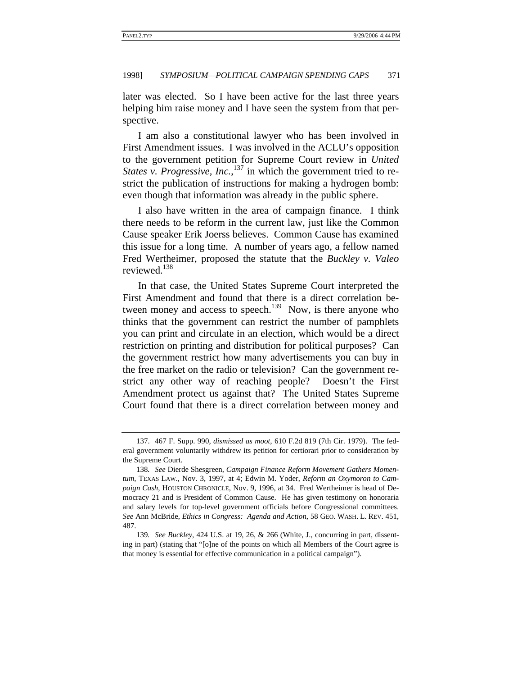later was elected. So I have been active for the last three years helping him raise money and I have seen the system from that perspective.

I am also a constitutional lawyer who has been involved in First Amendment issues. I was involved in the ACLU's opposition to the government petition for Supreme Court review in *United States v. Progressive, Inc.*,<sup>137</sup> in which the government tried to restrict the publication of instructions for making a hydrogen bomb: even though that information was already in the public sphere.

I also have written in the area of campaign finance. I think there needs to be reform in the current law, just like the Common Cause speaker Erik Joerss believes. Common Cause has examined this issue for a long time. A number of years ago, a fellow named Fred Wertheimer, proposed the statute that the *Buckley v. Valeo* reviewed.138

In that case, the United States Supreme Court interpreted the First Amendment and found that there is a direct correlation between money and access to speech.<sup>139</sup> Now, is there anyone who thinks that the government can restrict the number of pamphlets you can print and circulate in an election, which would be a direct restriction on printing and distribution for political purposes? Can the government restrict how many advertisements you can buy in the free market on the radio or television? Can the government restrict any other way of reaching people? Doesn't the First Amendment protect us against that? The United States Supreme Court found that there is a direct correlation between money and

<sup>137. 467</sup> F. Supp. 990, *dismissed as moot*, 610 F.2d 819 (7th Cir. 1979). The federal government voluntarily withdrew its petition for certiorari prior to consideration by the Supreme Court.

<sup>138</sup>*. See* Dierde Shesgreen, *Campaign Finance Reform Movement Gathers Momentum*, TEXAS LAW., Nov. 3, 1997, at 4; Edwin M. Yoder, *Reform an Oxymoron to Campaign Cash*, HOUSTON CHRONICLE, Nov. 9, 1996, at 34. Fred Wertheimer is head of Democracy 21 and is President of Common Cause. He has given testimony on honoraria and salary levels for top-level government officials before Congressional committees. *See* Ann McBride, *Ethics in Congress: Agenda and Action*, 58 GEO. WASH. L. REV. 451, 487.

<sup>139</sup>*. See Buckley*, 424 U.S. at 19, 26, & 266 (White, J., concurring in part, dissenting in part) (stating that "[o]ne of the points on which all Members of the Court agree is that money is essential for effective communication in a political campaign").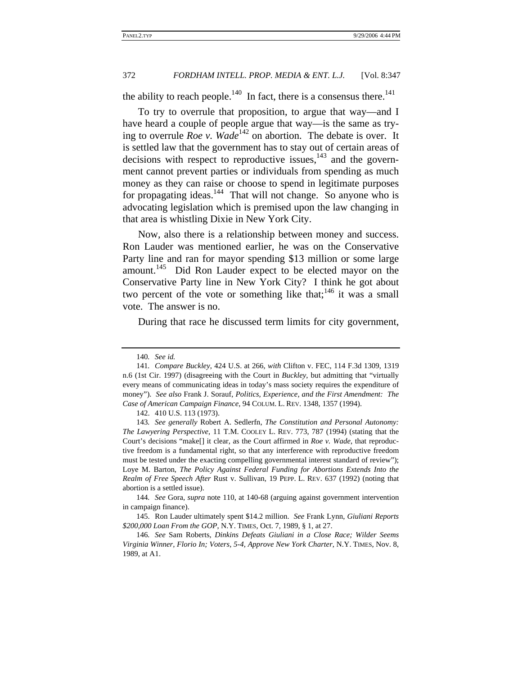the ability to reach people.<sup>140</sup> In fact, there is a consensus there.<sup>141</sup>

To try to overrule that proposition, to argue that way—and I have heard a couple of people argue that way—is the same as trying to overrule *Roe v.* Wade<sup>142</sup> on abortion. The debate is over. It is settled law that the government has to stay out of certain areas of decisions with respect to reproductive issues, $143$  and the government cannot prevent parties or individuals from spending as much money as they can raise or choose to spend in legitimate purposes for propagating ideas.<sup>144</sup> That will not change. So anyone who is advocating legislation which is premised upon the law changing in that area is whistling Dixie in New York City.

Now, also there is a relationship between money and success. Ron Lauder was mentioned earlier, he was on the Conservative Party line and ran for mayor spending \$13 million or some large amount.<sup>145</sup> Did Ron Lauder expect to be elected mayor on the Conservative Party line in New York City? I think he got about two percent of the vote or something like that;<sup>146</sup> it was a small vote. The answer is no.

During that race he discussed term limits for city government,

<sup>140</sup>*. See id.*

<sup>141</sup>*. Compare Buckley*, 424 U.S. at 266, *with* Clifton v. FEC, 114 F.3d 1309, 1319 n.6 (1st Cir. 1997) (disagreeing with the Court in *Buckley*, but admitting that "virtually every means of communicating ideas in today's mass society requires the expenditure of money"). *See also* Frank J. Sorauf, *Politics, Experience, and the First Amendment: The Case of American Campaign Finance*, 94 COLUM. L. REV. 1348, 1357 (1994).

<sup>142. 410</sup> U.S. 113 (1973).

<sup>143</sup>*. See generally* Robert A. Sedlerfn, *The Constitution and Personal Autonomy: The Lawyering Perspective*, 11 T.M. COOLEY L. REV. 773, 787 (1994) (stating that the Court's decisions "make[] it clear, as the Court affirmed in *Roe v. Wade*, that reproductive freedom is a fundamental right, so that any interference with reproductive freedom must be tested under the exacting compelling governmental interest standard of review"); Loye M. Barton, *The Policy Against Federal Funding for Abortions Extends Into the Realm of Free Speech After* Rust v. Sullivan, 19 PEPP. L. REV. 637 (1992) (noting that abortion is a settled issue).

<sup>144</sup>*. See* Gora, *supra* note 110, at 140-68 (arguing against government intervention in campaign finance).

<sup>145.</sup> Ron Lauder ultimately spent \$14.2 million. *See* Frank Lynn, *Giuliani Reports \$200,000 Loan From the GOP*, N.Y. TIMES, Oct. 7, 1989, § 1, at 27.

<sup>146</sup>*. See* Sam Roberts, *Dinkins Defeats Giuliani in a Close Race; Wilder Seems Virginia Winner, Florio In; Voters, 5-4, Approve New York Charter*, N.Y. TIMES, Nov. 8, 1989, at A1.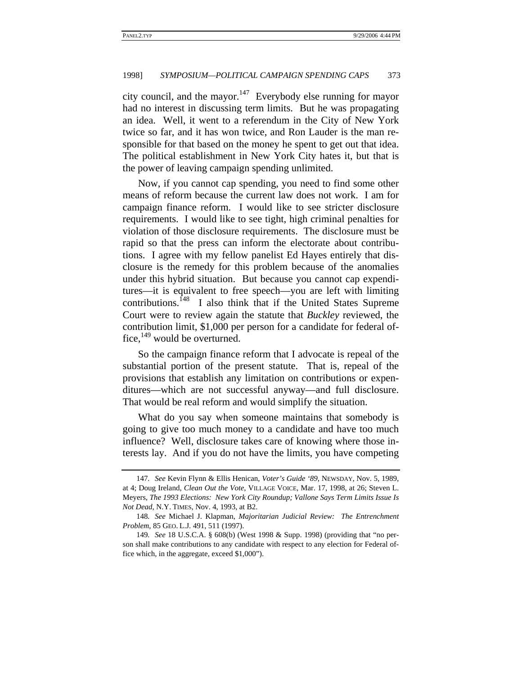city council, and the mayor.<sup>147</sup> Everybody else running for mayor had no interest in discussing term limits. But he was propagating an idea. Well, it went to a referendum in the City of New York twice so far, and it has won twice, and Ron Lauder is the man responsible for that based on the money he spent to get out that idea. The political establishment in New York City hates it, but that is the power of leaving campaign spending unlimited.

Now, if you cannot cap spending, you need to find some other means of reform because the current law does not work. I am for campaign finance reform. I would like to see stricter disclosure requirements. I would like to see tight, high criminal penalties for violation of those disclosure requirements. The disclosure must be rapid so that the press can inform the electorate about contributions. I agree with my fellow panelist Ed Hayes entirely that disclosure is the remedy for this problem because of the anomalies under this hybrid situation. But because you cannot cap expenditures—it is equivalent to free speech—you are left with limiting contributions.<sup>148</sup> I also think that if the United States Supreme Court were to review again the statute that *Buckley* reviewed, the contribution limit, \$1,000 per person for a candidate for federal office, $149$  would be overturned.

So the campaign finance reform that I advocate is repeal of the substantial portion of the present statute. That is, repeal of the provisions that establish any limitation on contributions or expenditures—which are not successful anyway—and full disclosure. That would be real reform and would simplify the situation.

What do you say when someone maintains that somebody is going to give too much money to a candidate and have too much influence? Well, disclosure takes care of knowing where those interests lay. And if you do not have the limits, you have competing

<sup>147</sup>*. See* Kevin Flynn & Ellis Henican, *Voter's Guide '89*, NEWSDAY, Nov. 5, 1989, at 4; Doug Ireland, *Clean Out the Vote*, VILLAGE VOICE, Mar. 17, 1998, at 26; Steven L. Meyers, *The 1993 Elections: New York City Roundup; Vallone Says Term Limits Issue Is Not Dead*, N.Y. TIMES, Nov. 4, 1993, at B2.

<sup>148</sup>*. See* Michael J. Klapman, *Majoritarian Judicial Review: The Entrenchment Problem*, 85 GEO. L.J. 491, 511 (1997).

<sup>149</sup>*. See* 18 U.S.C.A. § 608(b) (West 1998 & Supp. 1998) (providing that "no person shall make contributions to any candidate with respect to any election for Federal office which, in the aggregate, exceed \$1,000").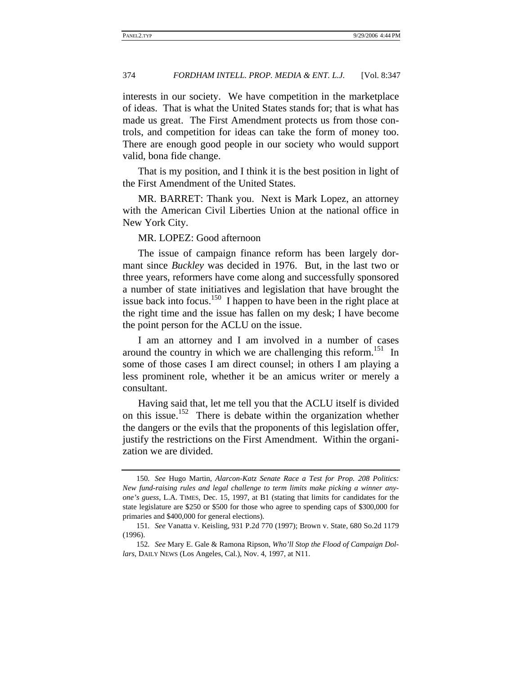interests in our society. We have competition in the marketplace of ideas. That is what the United States stands for; that is what has made us great. The First Amendment protects us from those controls, and competition for ideas can take the form of money too. There are enough good people in our society who would support valid, bona fide change.

That is my position, and I think it is the best position in light of the First Amendment of the United States.

MR. BARRET: Thank you. Next is Mark Lopez, an attorney with the American Civil Liberties Union at the national office in New York City.

# MR. LOPEZ: Good afternoon

The issue of campaign finance reform has been largely dormant since *Buckley* was decided in 1976. But, in the last two or three years, reformers have come along and successfully sponsored a number of state initiatives and legislation that have brought the issue back into focus.<sup>150</sup> I happen to have been in the right place at the right time and the issue has fallen on my desk; I have become the point person for the ACLU on the issue.

I am an attorney and I am involved in a number of cases around the country in which we are challenging this reform.<sup>151</sup> In some of those cases I am direct counsel; in others I am playing a less prominent role, whether it be an amicus writer or merely a consultant.

Having said that, let me tell you that the ACLU itself is divided on this issue.152 There is debate within the organization whether the dangers or the evils that the proponents of this legislation offer, justify the restrictions on the First Amendment. Within the organization we are divided.

<sup>150</sup>*. See* Hugo Martin, *Alarcon-Katz Senate Race a Test for Prop. 208 Politics: New fund-raising rules and legal challenge to term limits make picking a winner anyone's guess*, L.A. TIMES, Dec. 15, 1997, at B1 (stating that limits for candidates for the state legislature are \$250 or \$500 for those who agree to spending caps of \$300,000 for primaries and \$400,000 for general elections).

<sup>151</sup>*. See* Vanatta v. Keisling, 931 P.2d 770 (1997); Brown v. State, 680 So.2d 1179 (1996).

<sup>152</sup>*. See* Mary E. Gale & Ramona Ripson, *Who'll Stop the Flood of Campaign Dollars*, DAILY NEWS (Los Angeles, Cal.), Nov. 4, 1997, at N11.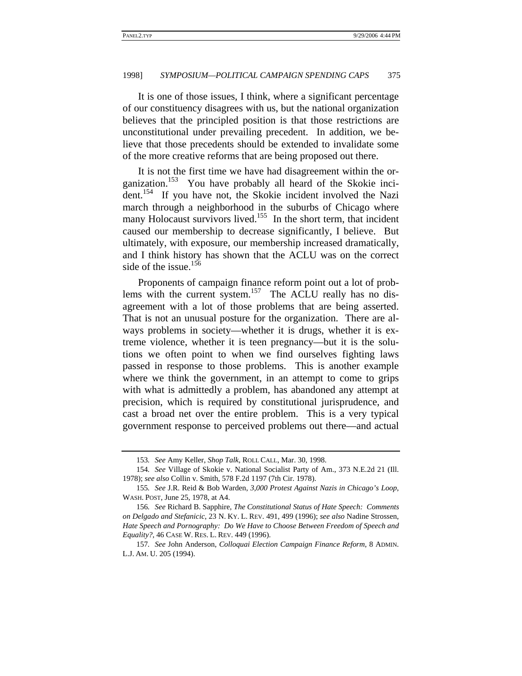It is one of those issues, I think, where a significant percentage of our constituency disagrees with us, but the national organization believes that the principled position is that those restrictions are unconstitutional under prevailing precedent. In addition, we believe that those precedents should be extended to invalidate some of the more creative reforms that are being proposed out there.

It is not the first time we have had disagreement within the organization.<sup>153</sup> You have probably all heard of the Skokie incident.<sup>154</sup> If you have not, the Skokie incident involved the Nazi march through a neighborhood in the suburbs of Chicago where many Holocaust survivors lived.<sup>155</sup> In the short term, that incident caused our membership to decrease significantly, I believe. But ultimately, with exposure, our membership increased dramatically, and I think history has shown that the ACLU was on the correct side of the issue.<sup>156</sup>

Proponents of campaign finance reform point out a lot of problems with the current system.<sup>157</sup> The ACLU really has no disagreement with a lot of those problems that are being asserted. That is not an unusual posture for the organization. There are always problems in society—whether it is drugs, whether it is extreme violence, whether it is teen pregnancy—but it is the solutions we often point to when we find ourselves fighting laws passed in response to those problems. This is another example where we think the government, in an attempt to come to grips with what is admittedly a problem, has abandoned any attempt at precision, which is required by constitutional jurisprudence, and cast a broad net over the entire problem. This is a very typical government response to perceived problems out there—and actual

<sup>153</sup>*. See* Amy Keller, *Shop Talk*, ROLL CALL, Mar. 30, 1998.

<sup>154</sup>*. See* Village of Skokie v. National Socialist Party of Am., 373 N.E.2d 21 (Ill. 1978); *see also* Collin v. Smith, 578 F.2d 1197 (7th Cir. 1978).

<sup>155</sup>*. See* J.R. Reid & Bob Warden, *3,000 Protest Against Nazis in Chicago's Loop*, WASH. POST, June 25, 1978, at A4.

<sup>156</sup>*. See* Richard B. Sapphire, *The Constitutional Status of Hate Speech: Comments on Delgado and Stefanicic*, 23 N. KY. L. REV. 491, 499 (1996); *see also* Nadine Strossen, *Hate Speech and Pornography: Do We Have to Choose Between Freedom of Speech and Equality?*, 46 CASE W. RES. L. REV. 449 (1996).

<sup>157</sup>*. See* John Anderson, *Colloquai Election Campaign Finance Reform*, 8 ADMIN. L.J. AM. U. 205 (1994).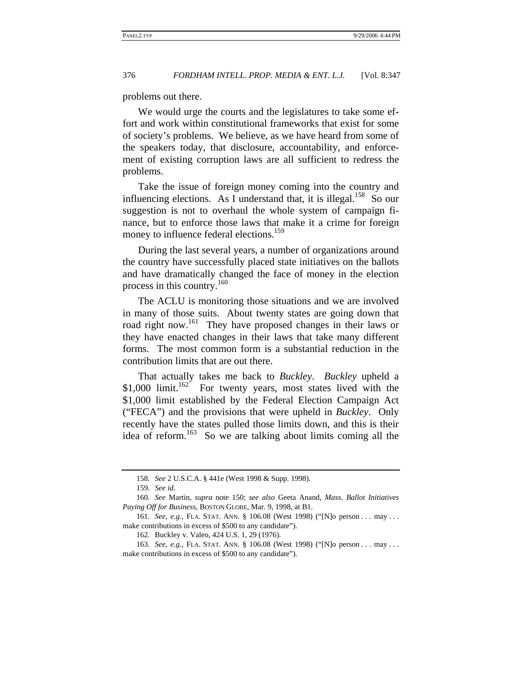problems out there.

We would urge the courts and the legislatures to take some effort and work within constitutional frameworks that exist for some of society's problems. We believe, as we have heard from some of the speakers today, that disclosure, accountability, and enforcement of existing corruption laws are all sufficient to redress the problems.

Take the issue of foreign money coming into the country and influencing elections. As I understand that, it is illegal.<sup>158</sup> So our suggestion is not to overhaul the whole system of campaign finance, but to enforce those laws that make it a crime for foreign money to influence federal elections.<sup>159</sup>

During the last several years, a number of organizations around the country have successfully placed state initiatives on the ballots and have dramatically changed the face of money in the election process in this country.<sup>160</sup>

The ACLU is monitoring those situations and we are involved in many of those suits. About twenty states are going down that road right now.<sup>161</sup> They have proposed changes in their laws or they have enacted changes in their laws that take many different forms. The most common form is a substantial reduction in the contribution limits that are out there.

That actually takes me back to *Buckley*. *Buckley* upheld a \$1,000 limit.<sup>162</sup> For twenty years, most states lived with the \$1,000 limit established by the Federal Election Campaign Act ("FECA") and the provisions that were upheld in *Buckley*. Only recently have the states pulled those limits down, and this is their idea of reform.<sup>163</sup> So we are talking about limits coming all the

<sup>158</sup>*. See* 2 U.S.C.A. § 441e (West 1998 & Supp. 1998).

<sup>159</sup>*. See id.*

<sup>160</sup>*. See* Martin, *supra* note 150; *see also* Geeta Anand, *Mass. Ballot Initiatives Paying Off for Business*, BOSTON GLOBE, Mar. 9, 1998, at B1.

<sup>161</sup>*. See, e.g.*, FLA. STAT. ANN. § 106.08 (West 1998) ("[N]o person . . . may . . . make contributions in excess of \$500 to any candidate").

<sup>162.</sup> Buckley v. Valeo, 424 U.S. 1, 29 (1976).

<sup>163</sup>*. See, e.g.*, FLA. STAT. ANN. § 106.08 (West 1998) ("[N]o person . . . may . . . make contributions in excess of \$500 to any candidate").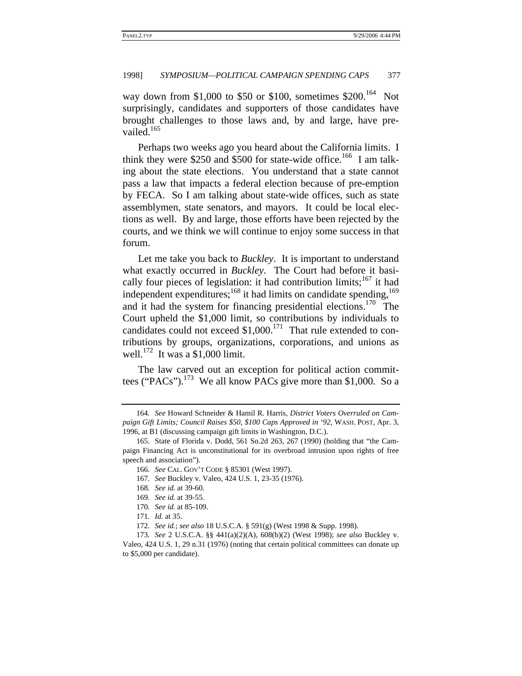way down from \$1,000 to \$50 or \$100, sometimes  $$200$ .<sup>164</sup> Not surprisingly, candidates and supporters of those candidates have brought challenges to those laws and, by and large, have prevailed.<sup>165</sup>

Perhaps two weeks ago you heard about the California limits. I think they were \$250 and \$500 for state-wide office.<sup>166</sup> I am talking about the state elections. You understand that a state cannot pass a law that impacts a federal election because of pre-emption by FECA. So I am talking about state-wide offices, such as state assemblymen, state senators, and mayors. It could be local elections as well. By and large, those efforts have been rejected by the courts, and we think we will continue to enjoy some success in that forum.

Let me take you back to *Buckley*. It is important to understand what exactly occurred in *Buckley.* The Court had before it basically four pieces of legislation: it had contribution limits;  $167$  it had independent expenditures; $^{168}$  it had limits on candidate spending,  $^{169}$ and it had the system for financing presidential elections.<sup>170</sup> The Court upheld the \$1,000 limit, so contributions by individuals to candidates could not exceed  $$1,000$ .<sup>171</sup> That rule extended to contributions by groups, organizations, corporations, and unions as well.<sup>172</sup> It was a \$1,000 limit.

The law carved out an exception for political action committees ("PACs").<sup>173</sup> We all know PACs give more than \$1,000. So a

<sup>164</sup>*. See* Howard Schneider & Hamil R. Harris, *District Voters Overruled on Campaign Gift Limits; Council Raises \$50, \$100 Caps Approved in '92*, WASH. POST, Apr. 3, 1996, at B1 (discussing campaign gift limits in Washington, D.C.).

<sup>165.</sup> State of Florida v. Dodd, 561 So.2d 263, 267 (1990) (holding that "the Campaign Financing Act is unconstitutional for its overbroad intrusion upon rights of free speech and association").

<sup>166</sup>*. See* CAL. GOV'T CODE § 85301 (West 1997).

<sup>167</sup>*. See* Buckley v. Valeo, 424 U.S. 1, 23-35 (1976).

<sup>168</sup>*. See id.* at 39-60.

<sup>169</sup>*. See id.* at 39-55.

<sup>170</sup>*. See id.* at 85-109.

<sup>171</sup>*. Id.* at 35.

<sup>172</sup>*. See id.*; *see also* 18 U.S.C.A. § 591(g) (West 1998 & Supp. 1998).

<sup>173</sup>*. See* 2 U.S.C.A. §§ 441(a)(2)(A), 608(b)(2) (West 1998); *see also* Buckley v. Valeo, 424 U.S. 1, 29 n.31 (1976) (noting that certain political committees can donate up to \$5,000 per candidate).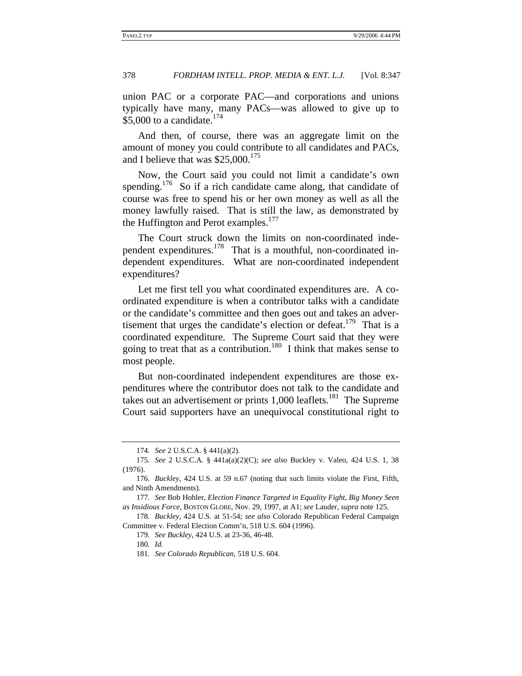union PAC or a corporate PAC—and corporations and unions typically have many, many PACs—was allowed to give up to \$5,000 to a candidate.<sup> $1/4$ </sup>

And then, of course, there was an aggregate limit on the amount of money you could contribute to all candidates and PACs, and I believe that was  $$25,000$ <sup>175</sup>

Now, the Court said you could not limit a candidate's own spending.<sup>176</sup> So if a rich candidate came along, that candidate of course was free to spend his or her own money as well as all the money lawfully raised. That is still the law, as demonstrated by the Huffington and Perot examples.<sup>177</sup>

The Court struck down the limits on non-coordinated independent expenditures.178 That is a mouthful, non-coordinated independent expenditures. What are non-coordinated independent expenditures?

Let me first tell you what coordinated expenditures are. A coordinated expenditure is when a contributor talks with a candidate or the candidate's committee and then goes out and takes an advertisement that urges the candidate's election or defeat.<sup>179</sup> That is a coordinated expenditure. The Supreme Court said that they were going to treat that as a contribution.<sup>180</sup> I think that makes sense to most people.

But non-coordinated independent expenditures are those expenditures where the contributor does not talk to the candidate and takes out an advertisement or prints  $1,000$  leaflets.<sup>181</sup> The Supreme Court said supporters have an unequivocal constitutional right to

<sup>174</sup>*. See* 2 U.S.C.A. § 441(a)(2).

<sup>175</sup>*. See* 2 U.S.C.A. § 441a(a)(2)(C); *see also* Buckley v. Valeo, 424 U.S. 1, 38 (1976).

<sup>176</sup>*. Buckley*, 424 U.S. at 59 n.67 (noting that such limits violate the First, Fifth, and Ninth Amendments).

<sup>177</sup>*. See* Bob Hohler, *Election Finance Targeted in Equality Fight, Big Money Seen as Insidious Force*, BOSTON GLOBE, Nov. 29, 1997, at A1; *see* Lauder, *supra* note 125.

<sup>178</sup>*. Buckley*, 424 U.S. at 51-54; *see also* Colorado Republican Federal Campaign Committee v. Federal Election Comm'n, 518 U.S. 604 (1996).

<sup>179</sup>*. See Buckley*, 424 U.S. at 23-36, 46-48.

<sup>180</sup>*. Id.*

<sup>181</sup>*. See Colorado Republican*, 518 U.S. 604.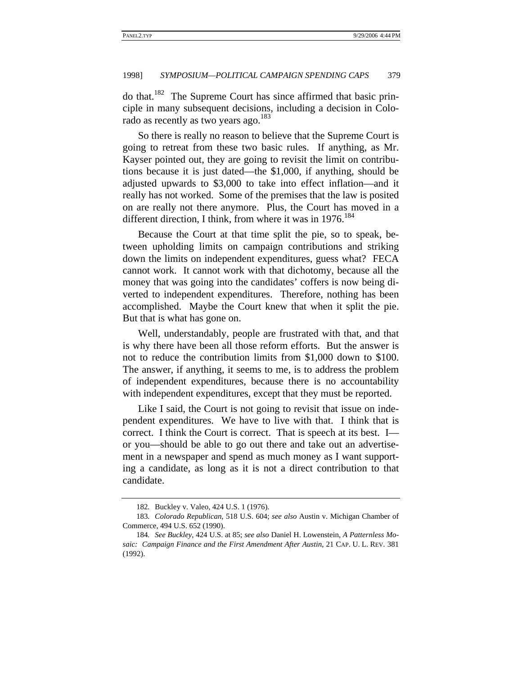do that.182 The Supreme Court has since affirmed that basic principle in many subsequent decisions, including a decision in Colorado as recently as two years ago.<sup>183</sup>

So there is really no reason to believe that the Supreme Court is going to retreat from these two basic rules. If anything, as Mr. Kayser pointed out, they are going to revisit the limit on contributions because it is just dated—the \$1,000, if anything, should be adjusted upwards to \$3,000 to take into effect inflation—and it really has not worked. Some of the premises that the law is posited on are really not there anymore. Plus, the Court has moved in a different direction, I think, from where it was in  $1976$ .<sup>184</sup>

Because the Court at that time split the pie, so to speak, between upholding limits on campaign contributions and striking down the limits on independent expenditures, guess what? FECA cannot work. It cannot work with that dichotomy, because all the money that was going into the candidates' coffers is now being diverted to independent expenditures. Therefore, nothing has been accomplished. Maybe the Court knew that when it split the pie. But that is what has gone on.

Well, understandably, people are frustrated with that, and that is why there have been all those reform efforts. But the answer is not to reduce the contribution limits from \$1,000 down to \$100. The answer, if anything, it seems to me, is to address the problem of independent expenditures, because there is no accountability with independent expenditures, except that they must be reported.

Like I said, the Court is not going to revisit that issue on independent expenditures. We have to live with that. I think that is correct. I think the Court is correct. That is speech at its best. I or you—should be able to go out there and take out an advertisement in a newspaper and spend as much money as I want supporting a candidate, as long as it is not a direct contribution to that candidate.

<sup>182</sup>*.* Buckley v. Valeo, 424 U.S. 1 (1976).

<sup>183</sup>*. Colorado Republican*, 518 U.S. 604; *see also* Austin v. Michigan Chamber of Commerce, 494 U.S. 652 (1990).

<sup>184</sup>*. See Buckley*, 424 U.S. at 85; *see also* Daniel H. Lowenstein, *A Patternless Mosaic: Campaign Finance and the First Amendment After Austin*, 21 CAP. U. L. REV. 381 (1992).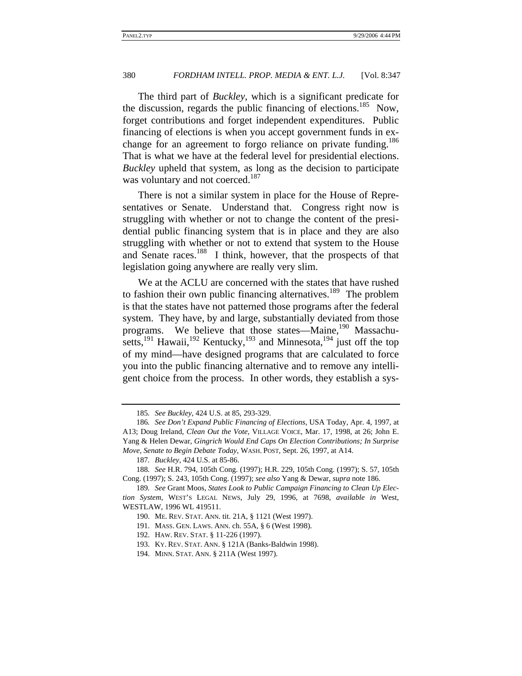The third part of *Buckley*, which is a significant predicate for the discussion, regards the public financing of elections.<sup>185</sup> Now, forget contributions and forget independent expenditures. Public financing of elections is when you accept government funds in exchange for an agreement to forgo reliance on private funding.<sup>186</sup> That is what we have at the federal level for presidential elections. *Buckley* upheld that system, as long as the decision to participate was voluntary and not coerced.<sup>187</sup>

There is not a similar system in place for the House of Representatives or Senate. Understand that. Congress right now is struggling with whether or not to change the content of the presidential public financing system that is in place and they are also struggling with whether or not to extend that system to the House and Senate races.188 I think, however, that the prospects of that legislation going anywhere are really very slim.

We at the ACLU are concerned with the states that have rushed to fashion their own public financing alternatives.<sup>189</sup> The problem is that the states have not patterned those programs after the federal system. They have, by and large, substantially deviated from those programs. We believe that those states—Maine,<sup>190</sup> Massachusetts,<sup>191</sup> Hawaii,<sup>192</sup> Kentucky,<sup>193</sup> and Minnesota,<sup>194</sup> just off the top of my mind—have designed programs that are calculated to force you into the public financing alternative and to remove any intelligent choice from the process. In other words, they establish a sys-

<sup>185</sup>*. See Buckley*, 424 U.S. at 85, 293-329.

<sup>186</sup>*. See Don't Expand Public Financing of Elections*, USA Today, Apr. 4, 1997, at A13; Doug Ireland, *Clean Out the Vote*, VILLAGE VOICE, Mar. 17, 1998, at 26; John E. Yang & Helen Dewar, *Gingrich Would End Caps On Election Contributions; In Surprise Move, Senate to Begin Debate Today*, WASH. POST, Sept. 26, 1997, at A14.

<sup>187</sup>*. Buckley*, 424 U.S. at 85-86.

<sup>188</sup>*. See* H.R. 794, 105th Cong. (1997); H.R. 229, 105th Cong. (1997); S. 57, 105th Cong. (1997); S. 243, 105th Cong. (1997); *see also* Yang & Dewar, *supra* note 186.

<sup>189</sup>*. See* Grant Moos, *States Look to Public Campaign Financing to Clean Up Election System*, WEST'S LEGAL NEWS, July 29, 1996, at 7698, *available in* West, WESTLAW, 1996 WL 419511.

<sup>190.</sup> ME. REV. STAT. ANN. tit. 21A, § 1121 (West 1997).

<sup>191.</sup> MASS. GEN. LAWS. ANN. ch. 55A, § 6 (West 1998).

<sup>192.</sup> HAW. REV. STAT. § 11-226 (1997).

<sup>193.</sup> KY. REV. STAT. ANN. § 121A (Banks-Baldwin 1998).

<sup>194.</sup> MINN. STAT. ANN. § 211A (West 1997).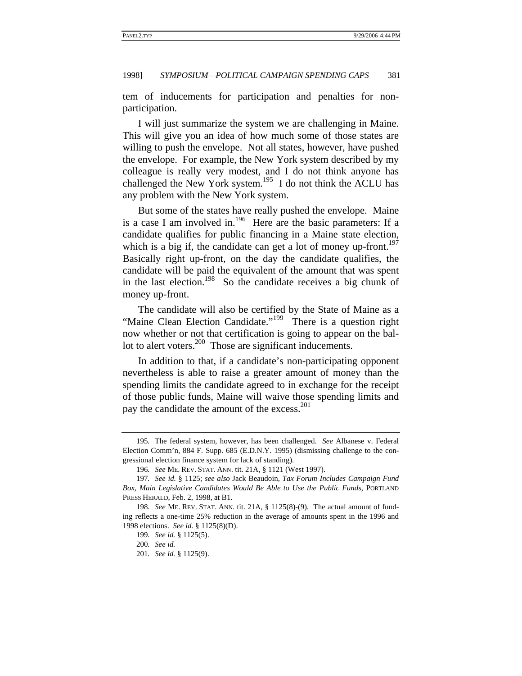tem of inducements for participation and penalties for nonparticipation.

I will just summarize the system we are challenging in Maine. This will give you an idea of how much some of those states are willing to push the envelope. Not all states, however, have pushed the envelope. For example, the New York system described by my colleague is really very modest, and I do not think anyone has challenged the New York system.<sup>195</sup> I do not think the ACLU has any problem with the New York system.

But some of the states have really pushed the envelope. Maine is a case I am involved in.<sup>196</sup> Here are the basic parameters: If a candidate qualifies for public financing in a Maine state election, which is a big if, the candidate can get a lot of money up-front.<sup>197</sup> Basically right up-front, on the day the candidate qualifies, the candidate will be paid the equivalent of the amount that was spent in the last election.<sup>198</sup> So the candidate receives a big chunk of money up-front.

The candidate will also be certified by the State of Maine as a "Maine Clean Election Candidate."<sup>199</sup> There is a question right now whether or not that certification is going to appear on the ballot to alert voters.<sup>200</sup> Those are significant inducements.

In addition to that, if a candidate's non-participating opponent nevertheless is able to raise a greater amount of money than the spending limits the candidate agreed to in exchange for the receipt of those public funds, Maine will waive those spending limits and pay the candidate the amount of the excess.<sup>201</sup>

<sup>195</sup>*.* The federal system, however, has been challenged. *See* Albanese v. Federal Election Comm'n, 884 F. Supp. 685 (E.D.N.Y. 1995) (dismissing challenge to the congressional election finance system for lack of standing).

<sup>196</sup>*. See* ME. REV. STAT. ANN. tit. 21A, § 1121 (West 1997).

<sup>197</sup>*. See id.* § 1125; *see also* Jack Beaudoin, *Tax Forum Includes Campaign Fund Box, Main Legislative Candidates Would Be Able to Use the Public Funds*, PORTLAND PRESS HERALD, Feb. 2, 1998, at B1.

<sup>198</sup>*. See* ME. REV. STAT. ANN. tit. 21A, § 1125(8)-(9). The actual amount of funding reflects a one-time 25% reduction in the average of amounts spent in the 1996 and 1998 elections. *See id.* § 1125(8)(D).

<sup>199</sup>*. See id.* § 1125(5).

<sup>200</sup>*. See id.*

<sup>201</sup>*. See id.* § 1125(9).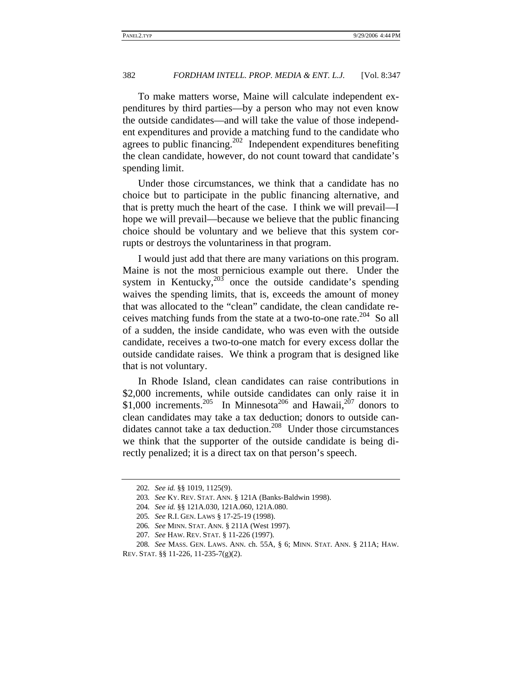To make matters worse, Maine will calculate independent expenditures by third parties—by a person who may not even know the outside candidates—and will take the value of those independent expenditures and provide a matching fund to the candidate who agrees to public financing.202 Independent expenditures benefiting the clean candidate, however, do not count toward that candidate's spending limit.

Under those circumstances, we think that a candidate has no choice but to participate in the public financing alternative, and that is pretty much the heart of the case. I think we will prevail—I hope we will prevail—because we believe that the public financing choice should be voluntary and we believe that this system corrupts or destroys the voluntariness in that program.

I would just add that there are many variations on this program. Maine is not the most pernicious example out there. Under the system in Kentucky, $203$  once the outside candidate's spending waives the spending limits, that is, exceeds the amount of money that was allocated to the "clean" candidate, the clean candidate receives matching funds from the state at a two-to-one rate.<sup>204</sup> So all of a sudden, the inside candidate, who was even with the outside candidate, receives a two-to-one match for every excess dollar the outside candidate raises. We think a program that is designed like that is not voluntary.

In Rhode Island, clean candidates can raise contributions in \$2,000 increments, while outside candidates can only raise it in \$1,000 increments.<sup>205</sup> In Minnesota<sup>206</sup> and Hawaii,<sup>207</sup> donors to clean candidates may take a tax deduction; donors to outside candidates cannot take a tax deduction.<sup>208</sup> Under those circumstances we think that the supporter of the outside candidate is being directly penalized; it is a direct tax on that person's speech.

<sup>202</sup>*. See id.* §§ 1019, 1125(9).

<sup>203</sup>*. See* KY. REV. STAT. ANN. § 121A (Banks-Baldwin 1998).

<sup>204</sup>*. See id.* §§ 121A.030, 121A.060, 121A.080.

<sup>205</sup>*. See* R.I. GEN. LAWS § 17-25-19 (1998).

<sup>206</sup>*. See* MINN. STAT. ANN. § 211A (West 1997).

<sup>207</sup>*. See* HAW. REV. STAT. § 11-226 (1997).

<sup>208</sup>*. See* MASS. GEN. LAWS. ANN. ch. 55A, § 6; MINN. STAT. ANN. § 211A; HAW. REV. STAT. §§ 11-226, 11-235-7(g)(2).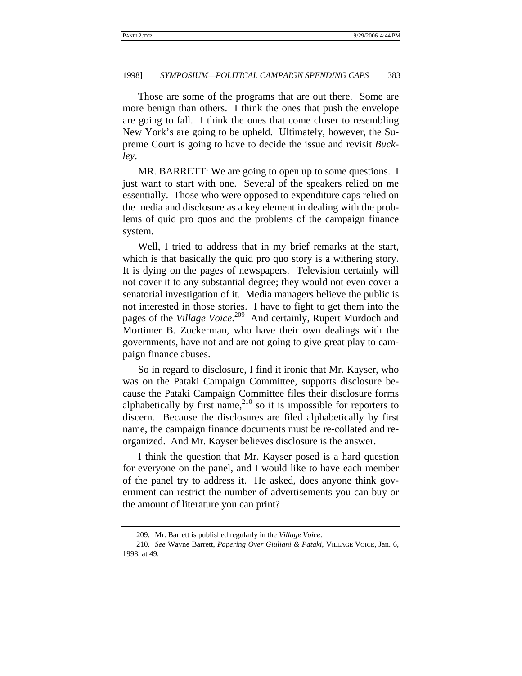Those are some of the programs that are out there. Some are more benign than others. I think the ones that push the envelope are going to fall. I think the ones that come closer to resembling New York's are going to be upheld. Ultimately, however, the Supreme Court is going to have to decide the issue and revisit *Buckley*.

MR. BARRETT: We are going to open up to some questions. I just want to start with one. Several of the speakers relied on me essentially. Those who were opposed to expenditure caps relied on the media and disclosure as a key element in dealing with the problems of quid pro quos and the problems of the campaign finance system.

Well, I tried to address that in my brief remarks at the start, which is that basically the quid pro quo story is a withering story. It is dying on the pages of newspapers. Television certainly will not cover it to any substantial degree; they would not even cover a senatorial investigation of it. Media managers believe the public is not interested in those stories. I have to fight to get them into the pages of the *Village Voice*. 209 And certainly, Rupert Murdoch and Mortimer B. Zuckerman, who have their own dealings with the governments, have not and are not going to give great play to campaign finance abuses.

So in regard to disclosure, I find it ironic that Mr. Kayser, who was on the Pataki Campaign Committee, supports disclosure because the Pataki Campaign Committee files their disclosure forms alphabetically by first name, $210$  so it is impossible for reporters to discern. Because the disclosures are filed alphabetically by first name, the campaign finance documents must be re-collated and reorganized. And Mr. Kayser believes disclosure is the answer.

I think the question that Mr. Kayser posed is a hard question for everyone on the panel, and I would like to have each member of the panel try to address it. He asked, does anyone think government can restrict the number of advertisements you can buy or the amount of literature you can print?

<sup>209.</sup> Mr. Barrett is published regularly in the *Village Voice*.

<sup>210</sup>*. See* Wayne Barrett, *Papering Over Giuliani & Pataki*, VILLAGE VOICE, Jan. 6, 1998, at 49.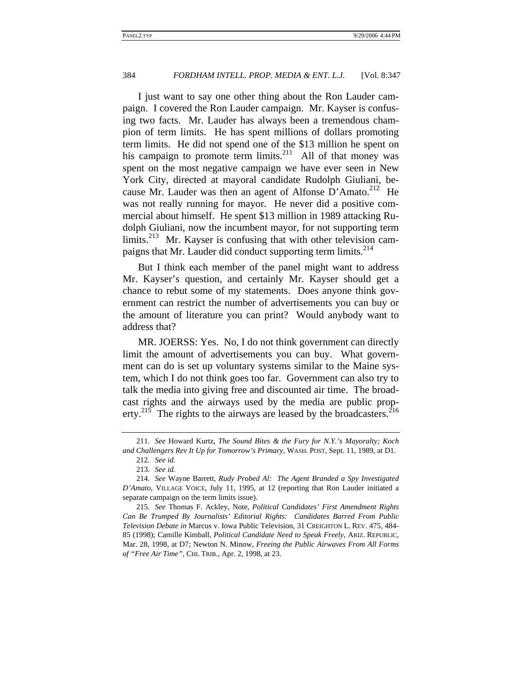I just want to say one other thing about the Ron Lauder campaign. I covered the Ron Lauder campaign. Mr. Kayser is confusing two facts. Mr. Lauder has always been a tremendous champion of term limits. He has spent millions of dollars promoting term limits. He did not spend one of the \$13 million he spent on his campaign to promote term  $\lim$ its.<sup>211</sup> All of that money was spent on the most negative campaign we have ever seen in New York City, directed at mayoral candidate Rudolph Giuliani, because Mr. Lauder was then an agent of Alfonse D'Amato.<sup>212</sup> He was not really running for mayor. He never did a positive commercial about himself. He spent \$13 million in 1989 attacking Rudolph Giuliani, now the incumbent mayor, for not supporting term limits.<sup>213</sup> Mr. Kayser is confusing that with other television campaigns that Mr. Lauder did conduct supporting term limits.<sup>214</sup>

But I think each member of the panel might want to address Mr. Kayser's question, and certainly Mr. Kayser should get a chance to rebut some of my statements. Does anyone think government can restrict the number of advertisements you can buy or the amount of literature you can print? Would anybody want to address that?

MR. JOERSS: Yes. No, I do not think government can directly limit the amount of advertisements you can buy. What government can do is set up voluntary systems similar to the Maine system, which I do not think goes too far. Government can also try to talk the media into giving free and discounted air time. The broadcast rights and the airways used by the media are public property.<sup>215</sup> The rights to the airways are leased by the broadcasters.<sup>216</sup>

<sup>211</sup>*. See* Howard Kurtz, *The Sound Bites & the Fury for N.Y.'s Mayoralty; Koch and Challengers Rev It Up for Tomorrow's Primary*, WASH. POST, Sept. 11, 1989, at D1.

<sup>212</sup>*. See id.*

<sup>213</sup>*. See id.*

<sup>214</sup>*. See* Wayne Barrett, *Rudy Probed Al: The Agent Branded a Spy Investigated D'Amato*, VILLAGE VOICE, July 11, 1995, at 12 (reporting that Ron Lauder initiated a separate campaign on the term limits issue).

<sup>215</sup>*. See* Thomas F. Ackley, Note, *Political Candidates' First Amendment Rights Can Be Trumped By Journalists' Editorial Rights: Candidates Barred From Public Television Debate in* Marcus v. Iowa Public Television, 31 CREIGHTON L. REV. 475, 484- 85 (1998); Camille Kimball, *Political Candidate Need to Speak Freely*, ARIZ. REPUBLIC, Mar. 28, 1998, at D7; Newton N. Minow, *Freeing the Public Airwaves From All Forms of "Free Air Time"*, CHI. TRIB., Apr. 2, 1998, at 23.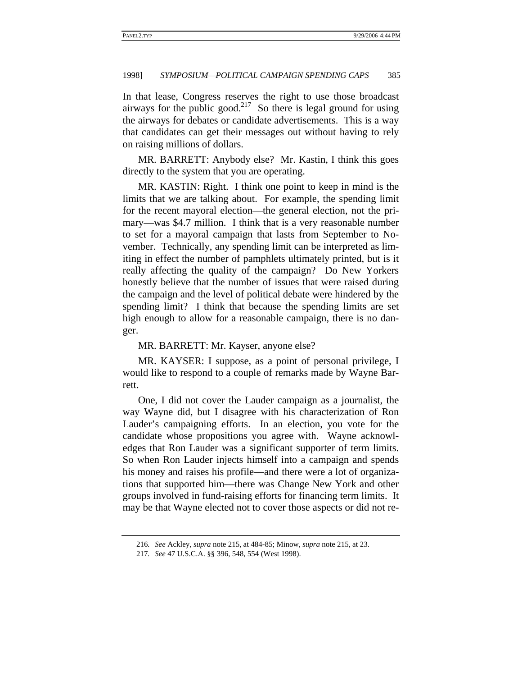In that lease, Congress reserves the right to use those broadcast airways for the public good.<sup>217</sup> So there is legal ground for using the airways for debates or candidate advertisements. This is a way that candidates can get their messages out without having to rely on raising millions of dollars.

MR. BARRETT: Anybody else? Mr. Kastin, I think this goes directly to the system that you are operating.

MR. KASTIN: Right. I think one point to keep in mind is the limits that we are talking about. For example, the spending limit for the recent mayoral election—the general election, not the primary—was \$4.7 million. I think that is a very reasonable number to set for a mayoral campaign that lasts from September to November. Technically, any spending limit can be interpreted as limiting in effect the number of pamphlets ultimately printed, but is it really affecting the quality of the campaign? Do New Yorkers honestly believe that the number of issues that were raised during the campaign and the level of political debate were hindered by the spending limit? I think that because the spending limits are set high enough to allow for a reasonable campaign, there is no danger.

MR. BARRETT: Mr. Kayser, anyone else?

MR. KAYSER: I suppose, as a point of personal privilege, I would like to respond to a couple of remarks made by Wayne Barrett.

One, I did not cover the Lauder campaign as a journalist, the way Wayne did, but I disagree with his characterization of Ron Lauder's campaigning efforts. In an election, you vote for the candidate whose propositions you agree with. Wayne acknowledges that Ron Lauder was a significant supporter of term limits. So when Ron Lauder injects himself into a campaign and spends his money and raises his profile—and there were a lot of organizations that supported him—there was Change New York and other groups involved in fund-raising efforts for financing term limits. It may be that Wayne elected not to cover those aspects or did not re-

<sup>216</sup>*. See* Ackley, *supra* note 215, at 484-85; Minow, *supra* note 215, at 23.

<sup>217</sup>*. See* 47 U.S.C.A. §§ 396, 548, 554 (West 1998).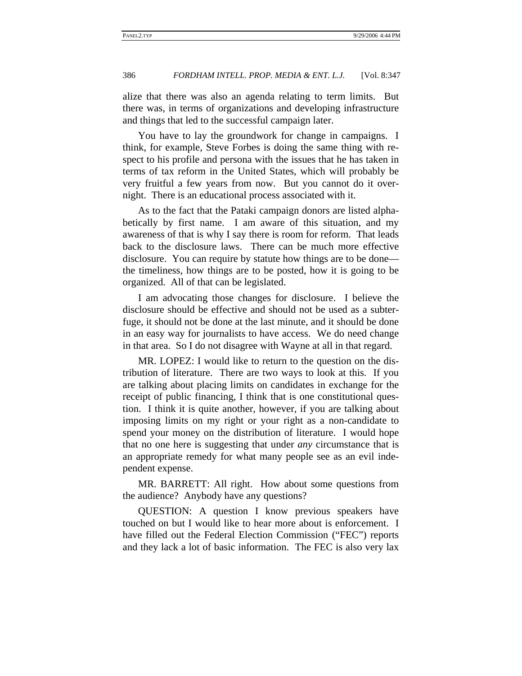alize that there was also an agenda relating to term limits. But there was, in terms of organizations and developing infrastructure and things that led to the successful campaign later.

You have to lay the groundwork for change in campaigns. I think, for example, Steve Forbes is doing the same thing with respect to his profile and persona with the issues that he has taken in terms of tax reform in the United States, which will probably be very fruitful a few years from now. But you cannot do it overnight. There is an educational process associated with it.

As to the fact that the Pataki campaign donors are listed alphabetically by first name. I am aware of this situation, and my awareness of that is why I say there is room for reform. That leads back to the disclosure laws. There can be much more effective disclosure. You can require by statute how things are to be done the timeliness, how things are to be posted, how it is going to be organized. All of that can be legislated.

I am advocating those changes for disclosure. I believe the disclosure should be effective and should not be used as a subterfuge, it should not be done at the last minute, and it should be done in an easy way for journalists to have access. We do need change in that area. So I do not disagree with Wayne at all in that regard.

MR. LOPEZ: I would like to return to the question on the distribution of literature. There are two ways to look at this. If you are talking about placing limits on candidates in exchange for the receipt of public financing, I think that is one constitutional question. I think it is quite another, however, if you are talking about imposing limits on my right or your right as a non-candidate to spend your money on the distribution of literature. I would hope that no one here is suggesting that under *any* circumstance that is an appropriate remedy for what many people see as an evil independent expense.

MR. BARRETT: All right. How about some questions from the audience? Anybody have any questions?

QUESTION: A question I know previous speakers have touched on but I would like to hear more about is enforcement. I have filled out the Federal Election Commission ("FEC") reports and they lack a lot of basic information. The FEC is also very lax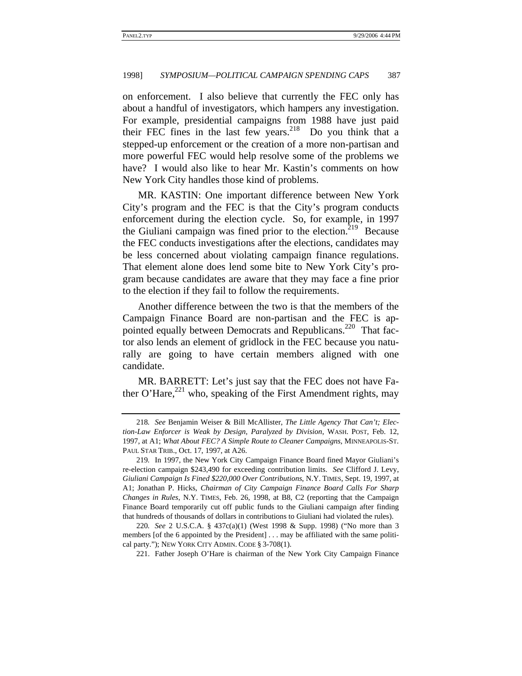on enforcement. I also believe that currently the FEC only has about a handful of investigators, which hampers any investigation. For example, presidential campaigns from 1988 have just paid their FEC fines in the last few years.218 Do you think that a stepped-up enforcement or the creation of a more non-partisan and more powerful FEC would help resolve some of the problems we have? I would also like to hear Mr. Kastin's comments on how New York City handles those kind of problems.

MR. KASTIN: One important difference between New York City's program and the FEC is that the City's program conducts enforcement during the election cycle. So, for example, in 1997 the Giuliani campaign was fined prior to the election.<sup>219</sup> Because the FEC conducts investigations after the elections, candidates may be less concerned about violating campaign finance regulations. That element alone does lend some bite to New York City's program because candidates are aware that they may face a fine prior to the election if they fail to follow the requirements.

Another difference between the two is that the members of the Campaign Finance Board are non-partisan and the FEC is appointed equally between Democrats and Republicans.<sup>220</sup> That factor also lends an element of gridlock in the FEC because you naturally are going to have certain members aligned with one candidate.

MR. BARRETT: Let's just say that the FEC does not have Father O'Hare,<sup>221</sup> who, speaking of the First Amendment rights, may

221. Father Joseph O'Hare is chairman of the New York City Campaign Finance

<sup>218</sup>*. See* Benjamin Weiser & Bill McAllister, *The Little Agency That Can't; Election-Law Enforcer is Weak by Design, Paralyzed by Division*, WASH. POST, Feb. 12, 1997, at A1; *What About FEC? A Simple Route to Cleaner Campaigns*, MINNEAPOLIS-ST. PAUL STAR TRIB., Oct. 17, 1997, at A26.

<sup>219</sup>*.* In 1997, the New York City Campaign Finance Board fined Mayor Giuliani's re-election campaign \$243,490 for exceeding contribution limits. *See* Clifford J. Levy, *Giuliani Campaign Is Fined \$220,000 Over Contributions*, N.Y. TIMES, Sept. 19, 1997, at A1; Jonathan P. Hicks, *Chairman of City Campaign Finance Board Calls For Sharp Changes in Rules*, N.Y. TIMES, Feb. 26, 1998, at B8, C2 (reporting that the Campaign Finance Board temporarily cut off public funds to the Giuliani campaign after finding that hundreds of thousands of dollars in contributions to Giuliani had violated the rules).

<sup>220</sup>*. See* 2 U.S.C.A. § 437c(a)(1) (West 1998 & Supp. 1998) ("No more than 3 members [of the 6 appointed by the President] . . . may be affiliated with the same political party."); NEW YORK CITY ADMIN. CODE § 3-708(1).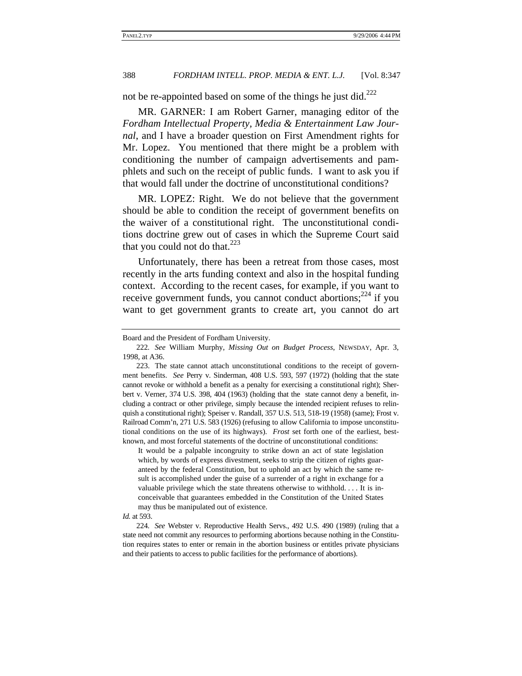not be re-appointed based on some of the things he just did.222

MR. GARNER: I am Robert Garner, managing editor of the *Fordham Intellectual Property, Media & Entertainment Law Journal*, and I have a broader question on First Amendment rights for Mr. Lopez. You mentioned that there might be a problem with conditioning the number of campaign advertisements and pamphlets and such on the receipt of public funds. I want to ask you if that would fall under the doctrine of unconstitutional conditions?

MR. LOPEZ: Right. We do not believe that the government should be able to condition the receipt of government benefits on the waiver of a constitutional right. The unconstitutional conditions doctrine grew out of cases in which the Supreme Court said that you could not do that. $^{223}$ 

Unfortunately, there has been a retreat from those cases, most recently in the arts funding context and also in the hospital funding context. According to the recent cases, for example, if you want to receive government funds, you cannot conduct abortions;<sup>224</sup> if you want to get government grants to create art, you cannot do art

It would be a palpable incongruity to strike down an act of state legislation which, by words of express divestment, seeks to strip the citizen of rights guaranteed by the federal Constitution, but to uphold an act by which the same result is accomplished under the guise of a surrender of a right in exchange for a valuable privilege which the state threatens otherwise to withhold. . . . It is inconceivable that guarantees embedded in the Constitution of the United States may thus be manipulated out of existence.

Board and the President of Fordham University.

<sup>222</sup>*. See* William Murphy, *Missing Out on Budget Process*, NEWSDAY, Apr. 3, 1998, at A36.

<sup>223.</sup> The state cannot attach unconstitutional conditions to the receipt of government benefits. *See* Perry v. Sinderman, 408 U.S. 593, 597 (1972) (holding that the state cannot revoke or withhold a benefit as a penalty for exercising a constitutional right); Sherbert v. Verner, 374 U.S. 398, 404 (1963) (holding that the state cannot deny a benefit, including a contract or other privilege, simply because the intended recipient refuses to relinquish a constitutional right); Speiser v. Randall, 357 U.S. 513, 518-19 (1958) (same); Frost v. Railroad Comm'n, 271 U.S. 583 (1926) (refusing to allow California to impose unconstitutional conditions on the use of its highways). *Frost* set forth one of the earliest, bestknown, and most forceful statements of the doctrine of unconstitutional conditions:

*Id.* at 593.

<sup>224</sup>*. See* Webster v. Reproductive Health Servs., 492 U.S. 490 (1989) (ruling that a state need not commit any resources to performing abortions because nothing in the Constitution requires states to enter or remain in the abortion business or entitles private physicians and their patients to access to public facilities for the performance of abortions).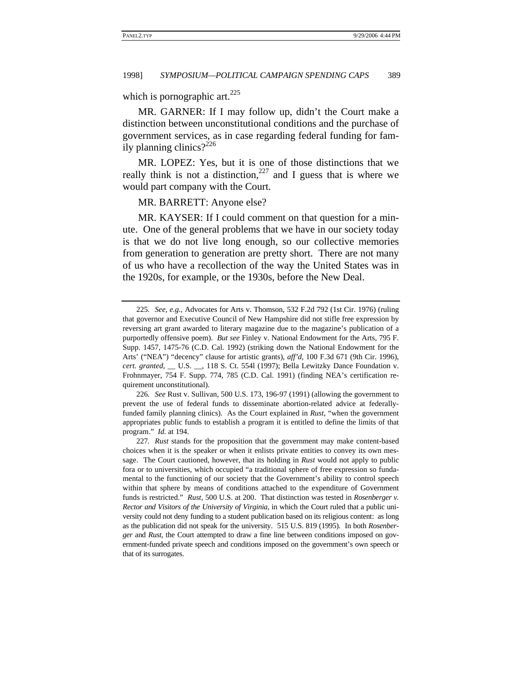which is pornographic art. $225$ 

MR. GARNER: If I may follow up, didn't the Court make a distinction between unconstitutional conditions and the purchase of government services, as in case regarding federal funding for family planning clinics? $2^{226}$ 

MR. LOPEZ: Yes, but it is one of those distinctions that we really think is not a distinction,  $227$  and I guess that is where we would part company with the Court.

MR. BARRETT: Anyone else?

MR. KAYSER: If I could comment on that question for a minute. One of the general problems that we have in our society today is that we do not live long enough, so our collective memories from generation to generation are pretty short. There are not many of us who have a recollection of the way the United States was in the 1920s, for example, or the 1930s, before the New Deal.

226*. See* Rust v. Sullivan, 500 U.S. 173, 196-97 (1991) (allowing the government to prevent the use of federal funds to disseminate abortion-related advice at federallyfunded family planning clinics). As the Court explained in *Rust*, "when the government appropriates public funds to establish a program it is entitled to define the limits of that program." *Id.* at 194.

<sup>225</sup>*. See, e.g.*, Advocates for Arts v. Thomson, 532 F.2d 792 (1st Cir. 1976) (ruling that governor and Executive Council of New Hampshire did not stifle free expression by reversing art grant awarded to literary magazine due to the magazine's publication of a purportedly offensive poem). *But see* Finley v. National Endowment for the Arts, 795 F. Supp. 1457, 1475-76 (C.D. Cal. 1992) (striking down the National Endowment for the Arts' ("NEA") "decency" clause for artistic grants), *aff'd*, 100 F.3d 671 (9th Cir. 1996), *cert. granted*, \_\_ U.S. \_\_, 118 S. Ct. 554l (1997); Bella Lewitzky Dance Foundation v. Frohnmayer, 754 F. Supp. 774, 785 (C.D. Cal. 1991) (finding NEA's certification requirement unconstitutional).

<sup>227</sup>*. Rust* stands for the proposition that the government may make content-based choices when it is the speaker or when it enlists private entities to convey its own message. The Court cautioned, however, that its holding in *Rust* would not apply to public fora or to universities, which occupied "a traditional sphere of free expression so fundamental to the functioning of our society that the Government's ability to control speech within that sphere by means of conditions attached to the expenditure of Government funds is restricted." *Rust*, 500 U.S. at 200. That distinction was tested in *Rosenberger v. Rector and Visitors of the University of Virginia*, in which the Court ruled that a public university could not deny funding to a student publication based on its religious content: as long as the publication did not speak for the university. 515 U.S. 819 (1995). In both *Rosenberger* and *Rust*, the Court attempted to draw a fine line between conditions imposed on government-funded private speech and conditions imposed on the government's own speech or that of its surrogates.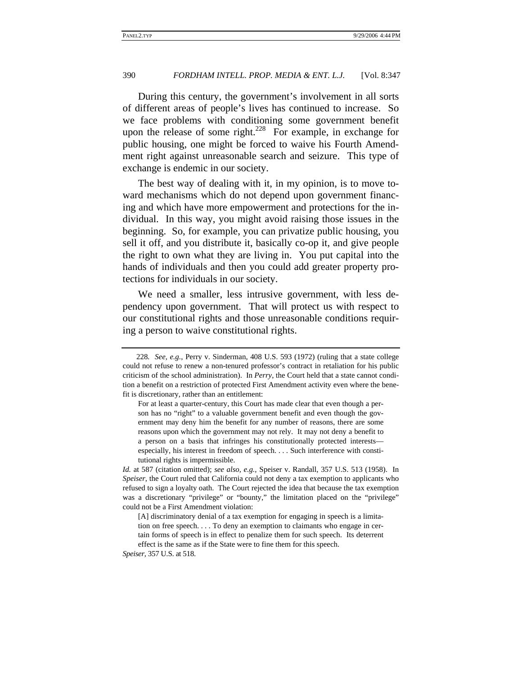During this century, the government's involvement in all sorts of different areas of people's lives has continued to increase. So we face problems with conditioning some government benefit upon the release of some right.<sup>228</sup> For example, in exchange for public housing, one might be forced to waive his Fourth Amendment right against unreasonable search and seizure. This type of exchange is endemic in our society.

The best way of dealing with it, in my opinion, is to move toward mechanisms which do not depend upon government financing and which have more empowerment and protections for the individual. In this way, you might avoid raising those issues in the beginning. So, for example, you can privatize public housing, you sell it off, and you distribute it, basically co-op it, and give people the right to own what they are living in. You put capital into the hands of individuals and then you could add greater property protections for individuals in our society.

We need a smaller, less intrusive government, with less dependency upon government. That will protect us with respect to our constitutional rights and those unreasonable conditions requiring a person to waive constitutional rights.

*Speiser*, 357 U.S. at 518.

<sup>228</sup>*. See, e.g.*, Perry v. Sinderman, 408 U.S. 593 (1972) (ruling that a state college could not refuse to renew a non-tenured professor's contract in retaliation for his public criticism of the school administration). In *Perry*, the Court held that a state cannot condition a benefit on a restriction of protected First Amendment activity even where the benefit is discretionary, rather than an entitlement:

For at least a quarter-century, this Court has made clear that even though a person has no "right" to a valuable government benefit and even though the government may deny him the benefit for any number of reasons, there are some reasons upon which the government may not rely. It may not deny a benefit to a person on a basis that infringes his constitutionally protected interests especially, his interest in freedom of speech. . . . Such interference with constitutional rights is impermissible.

*Id.* at 587 (citation omitted); *see also, e.g.*, Speiser v. Randall, 357 U.S. 513 (1958). In *Speiser*, the Court ruled that California could not deny a tax exemption to applicants who refused to sign a loyalty oath. The Court rejected the idea that because the tax exemption was a discretionary "privilege" or "bounty," the limitation placed on the "privilege" could not be a First Amendment violation:

<sup>[</sup>A] discriminatory denial of a tax exemption for engaging in speech is a limitation on free speech. . . . To deny an exemption to claimants who engage in certain forms of speech is in effect to penalize them for such speech. Its deterrent effect is the same as if the State were to fine them for this speech.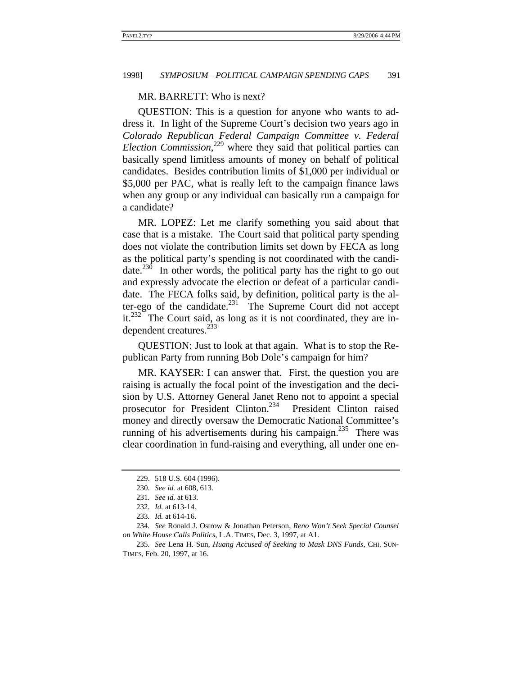# MR. BARRETT: Who is next?

QUESTION: This is a question for anyone who wants to address it. In light of the Supreme Court's decision two years ago in *Colorado Republican Federal Campaign Committee v. Federal Election Commission*, 229 where they said that political parties can basically spend limitless amounts of money on behalf of political candidates. Besides contribution limits of \$1,000 per individual or \$5,000 per PAC, what is really left to the campaign finance laws when any group or any individual can basically run a campaign for a candidate?

MR. LOPEZ: Let me clarify something you said about that case that is a mistake. The Court said that political party spending does not violate the contribution limits set down by FECA as long as the political party's spending is not coordinated with the candidate.<sup>230</sup> In other words, the political party has the right to go out and expressly advocate the election or defeat of a particular candidate. The FECA folks said, by definition, political party is the alter-ego of the candidate.<sup>231</sup> The Supreme Court did not accept it.<sup>232</sup> The Court said, as long as it is not coordinated, they are independent creatures. $^{233}$ 

QUESTION: Just to look at that again. What is to stop the Republican Party from running Bob Dole's campaign for him?

MR. KAYSER: I can answer that. First, the question you are raising is actually the focal point of the investigation and the decision by U.S. Attorney General Janet Reno not to appoint a special prosecutor for President Clinton.<sup>234</sup> President Clinton raised money and directly oversaw the Democratic National Committee's running of his advertisements during his campaign.<sup>235</sup> There was clear coordination in fund-raising and everything, all under one en-

<sup>229. 518</sup> U.S. 604 (1996).

<sup>230</sup>*. See id.* at 608, 613.

<sup>231</sup>*. See id.* at 613.

<sup>232</sup>*. Id.* at 613-14.

<sup>233</sup>*. Id.* at 614-16.

<sup>234</sup>*. See* Ronald J. Ostrow & Jonathan Peterson, *Reno Won't Seek Special Counsel on White House Calls Politics*, L.A. TIMES, Dec. 3, 1997, at A1.

<sup>235</sup>*. See* Lena H. Sun, *Huang Accused of Seeking to Mask DNS Funds*, CHI. SUN-TIMES, Feb. 20, 1997, at 16.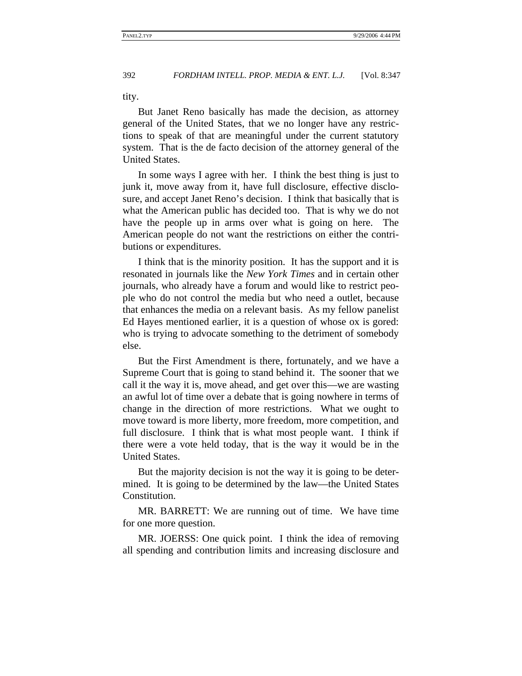tity.

But Janet Reno basically has made the decision, as attorney general of the United States, that we no longer have any restrictions to speak of that are meaningful under the current statutory system. That is the de facto decision of the attorney general of the United States.

In some ways I agree with her. I think the best thing is just to junk it, move away from it, have full disclosure, effective disclosure, and accept Janet Reno's decision. I think that basically that is what the American public has decided too. That is why we do not have the people up in arms over what is going on here. The American people do not want the restrictions on either the contributions or expenditures.

I think that is the minority position. It has the support and it is resonated in journals like the *New York Times* and in certain other journals, who already have a forum and would like to restrict people who do not control the media but who need a outlet, because that enhances the media on a relevant basis. As my fellow panelist Ed Hayes mentioned earlier, it is a question of whose ox is gored: who is trying to advocate something to the detriment of somebody else.

But the First Amendment is there, fortunately, and we have a Supreme Court that is going to stand behind it. The sooner that we call it the way it is, move ahead, and get over this—we are wasting an awful lot of time over a debate that is going nowhere in terms of change in the direction of more restrictions. What we ought to move toward is more liberty, more freedom, more competition, and full disclosure. I think that is what most people want. I think if there were a vote held today, that is the way it would be in the United States.

But the majority decision is not the way it is going to be determined. It is going to be determined by the law—the United States Constitution.

MR. BARRETT: We are running out of time. We have time for one more question.

MR. JOERSS: One quick point. I think the idea of removing all spending and contribution limits and increasing disclosure and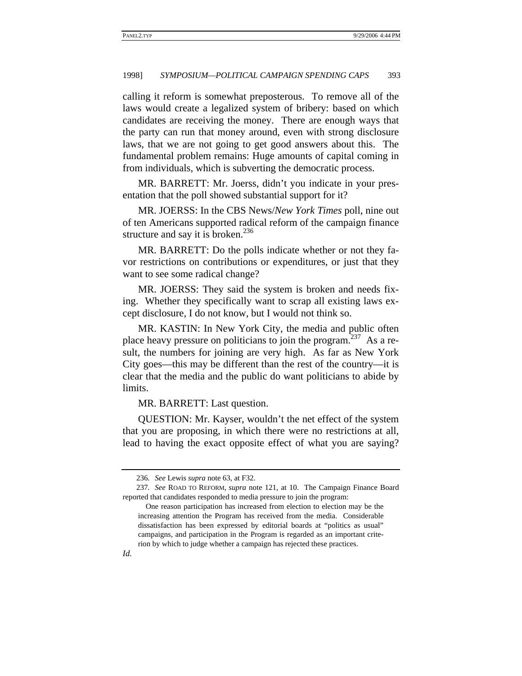calling it reform is somewhat preposterous. To remove all of the laws would create a legalized system of bribery: based on which candidates are receiving the money. There are enough ways that the party can run that money around, even with strong disclosure laws, that we are not going to get good answers about this. The fundamental problem remains: Huge amounts of capital coming in from individuals, which is subverting the democratic process.

MR. BARRETT: Mr. Joerss, didn't you indicate in your presentation that the poll showed substantial support for it?

MR. JOERSS: In the CBS News/*New York Times* poll, nine out of ten Americans supported radical reform of the campaign finance structure and say it is broken. $236$ 

MR. BARRETT: Do the polls indicate whether or not they favor restrictions on contributions or expenditures, or just that they want to see some radical change?

MR. JOERSS: They said the system is broken and needs fixing. Whether they specifically want to scrap all existing laws except disclosure, I do not know, but I would not think so.

MR. KASTIN: In New York City, the media and public often place heavy pressure on politicians to join the program.<sup>237</sup> As a result, the numbers for joining are very high. As far as New York City goes—this may be different than the rest of the country—it is clear that the media and the public do want politicians to abide by limits.

MR. BARRETT: Last question.

QUESTION: Mr. Kayser, wouldn't the net effect of the system that you are proposing, in which there were no restrictions at all, lead to having the exact opposite effect of what you are saying?

<sup>236</sup>*. See* Lewis *supra* note 63, at F32.

<sup>237</sup>*. See* ROAD TO REFORM, *supra* note 121, at 10. The Campaign Finance Board reported that candidates responded to media pressure to join the program:

One reason participation has increased from election to election may be the increasing attention the Program has received from the media. Considerable dissatisfaction has been expressed by editorial boards at "politics as usual" campaigns, and participation in the Program is regarded as an important criterion by which to judge whether a campaign has rejected these practices.